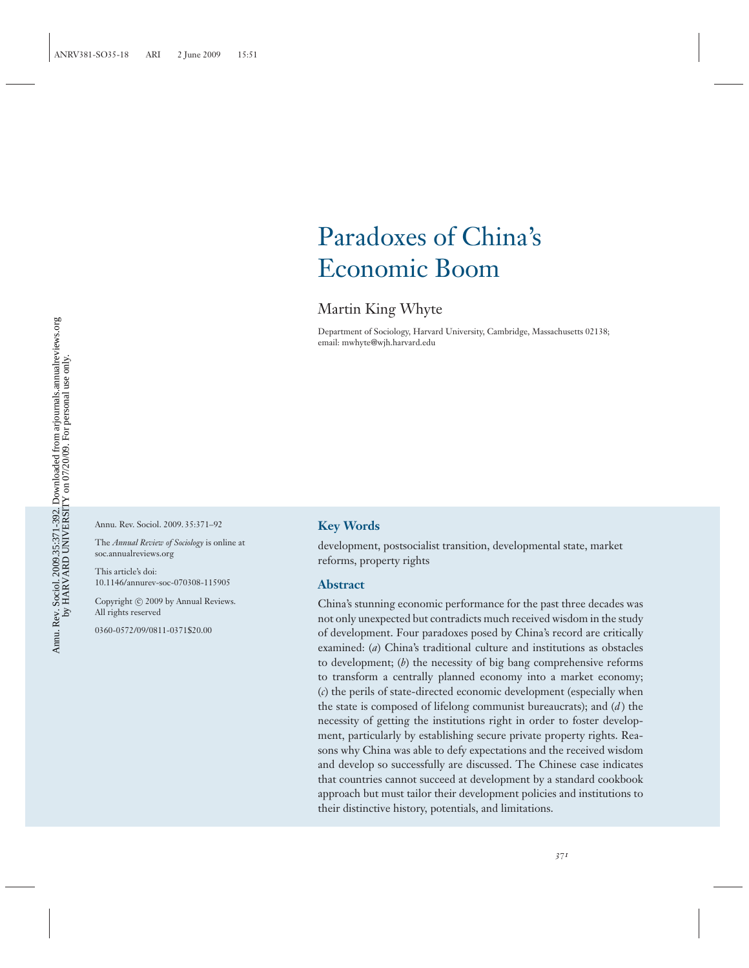## Paradoxes of China's Economic Boom

## Martin King Whyte

Department of Sociology, Harvard University, Cambridge, Massachusetts 02138; email: mwhyte@wjh.harvard.edu

Annu. Rev. Sociol. 2009. 35:371–92

The *Annual Review of Sociology* is online at soc.annualreviews.org

This article's doi: 10.1146/annurev-soc-070308-115905

Copyright © 2009 by Annual Reviews. All rights reserved

0360-0572/09/0811-0371\$20.00

#### **Key Words**

development, postsocialist transition, developmental state, market reforms, property rights

#### **Abstract**

China's stunning economic performance for the past three decades was not only unexpected but contradicts much received wisdom in the study of development. Four paradoxes posed by China's record are critically examined: (*a*) China's traditional culture and institutions as obstacles to development; (*b*) the necessity of big bang comprehensive reforms to transform a centrally planned economy into a market economy; (*c*) the perils of state-directed economic development (especially when the state is composed of lifelong communist bureaucrats); and (*d* ) the necessity of getting the institutions right in order to foster development, particularly by establishing secure private property rights. Reasons why China was able to defy expectations and the received wisdom and develop so successfully are discussed. The Chinese case indicates that countries cannot succeed at development by a standard cookbook approach but must tailor their development policies and institutions to their distinctive history, potentials, and limitations.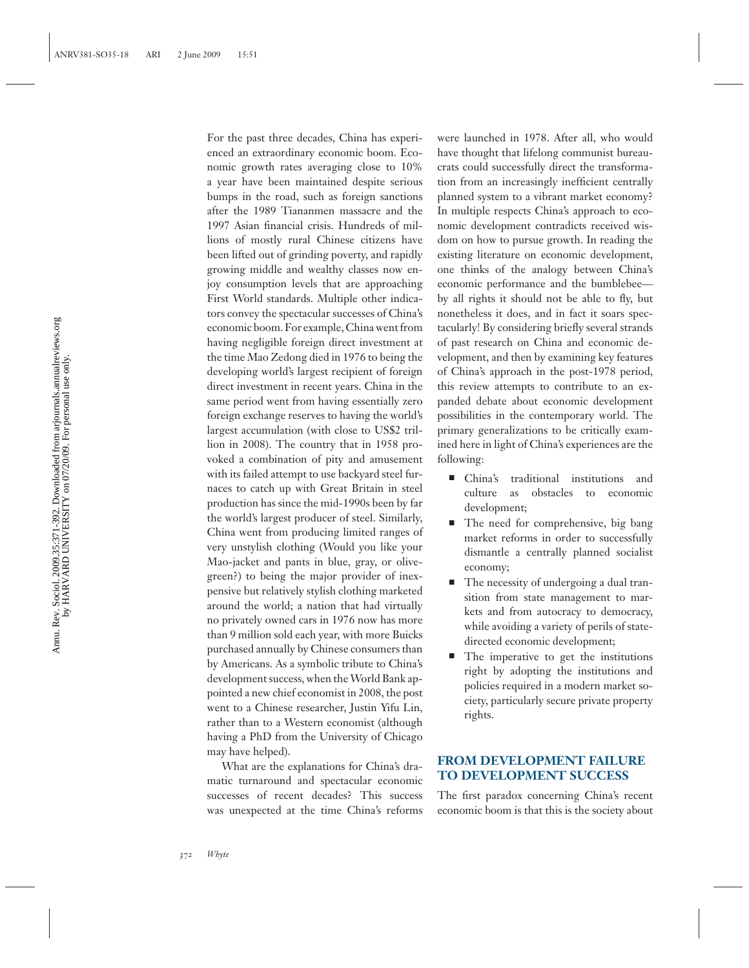For the past three decades, China has experienced an extraordinary economic boom. Economic growth rates averaging close to 10% a year have been maintained despite serious bumps in the road, such as foreign sanctions after the 1989 Tiananmen massacre and the 1997 Asian financial crisis. Hundreds of millions of mostly rural Chinese citizens have been lifted out of grinding poverty, and rapidly growing middle and wealthy classes now enjoy consumption levels that are approaching First World standards. Multiple other indicators convey the spectacular successes of China's economic boom. For example, China went from having negligible foreign direct investment at the time Mao Zedong died in 1976 to being the developing world's largest recipient of foreign direct investment in recent years. China in the same period went from having essentially zero foreign exchange reserves to having the world's largest accumulation (with close to US\$2 trillion in 2008). The country that in 1958 provoked a combination of pity and amusement with its failed attempt to use backyard steel furnaces to catch up with Great Britain in steel production has since the mid-1990s been by far the world's largest producer of steel. Similarly, China went from producing limited ranges of very unstylish clothing (Would you like your Mao-jacket and pants in blue, gray, or olivegreen?) to being the major provider of inexpensive but relatively stylish clothing marketed around the world; a nation that had virtually no privately owned cars in 1976 now has more than 9 million sold each year, with more Buicks purchased annually by Chinese consumers than by Americans. As a symbolic tribute to China's development success, when the World Bank appointed a new chief economist in 2008, the post went to a Chinese researcher, Justin Yifu Lin, rather than to a Western economist (although having a PhD from the University of Chicago may have helped).

What are the explanations for China's dramatic turnaround and spectacular economic successes of recent decades? This success was unexpected at the time China's reforms

were launched in 1978. After all, who would have thought that lifelong communist bureaucrats could successfully direct the transformation from an increasingly inefficient centrally planned system to a vibrant market economy? In multiple respects China's approach to economic development contradicts received wisdom on how to pursue growth. In reading the existing literature on economic development, one thinks of the analogy between China's economic performance and the bumblebee by all rights it should not be able to fly, but nonetheless it does, and in fact it soars spectacularly! By considering briefly several strands of past research on China and economic development, and then by examining key features of China's approach in the post-1978 period, this review attempts to contribute to an expanded debate about economic development possibilities in the contemporary world. The primary generalizations to be critically examined here in light of China's experiences are the following:

- $\blacksquare$  China's traditional institutions and culture as obstacles to economic development;
- - The need for comprehensive, big bang market reforms in order to successfully dismantle a centrally planned socialist economy;
- The necessity of undergoing a dual transition from state management to markets and from autocracy to democracy, while avoiding a variety of perils of statedirected economic development;
- The imperative to get the institutions right by adopting the institutions and policies required in a modern market society, particularly secure private property rights.

#### **FROM DEVELOPMENT FAILURE TO DEVELOPMENT SUCCESS**

The first paradox concerning China's recent economic boom is that this is the society about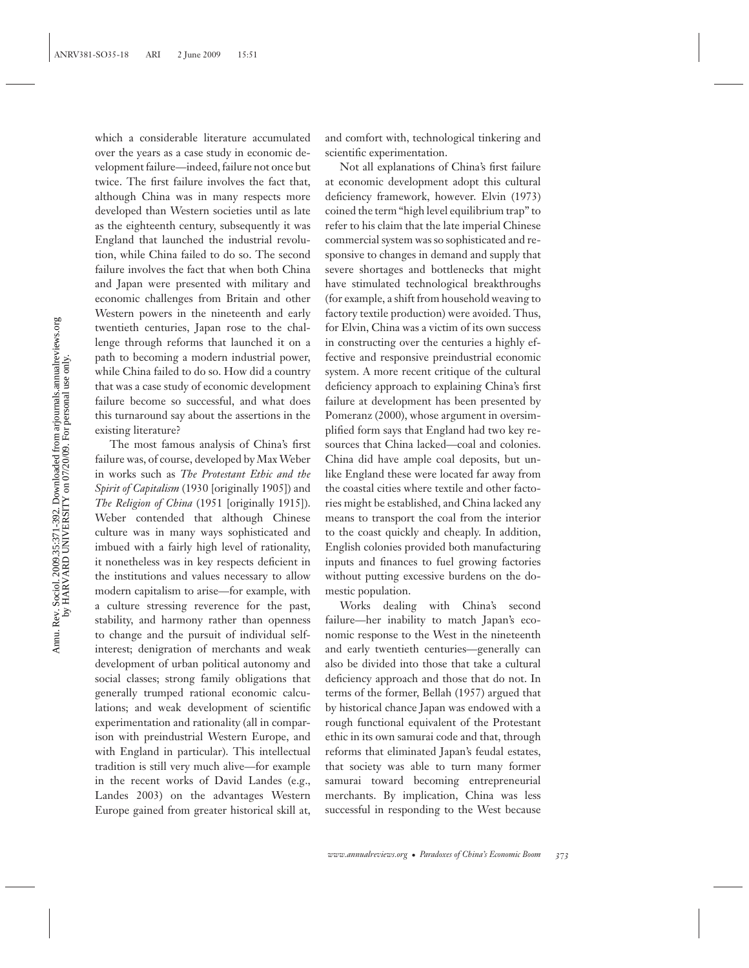which a considerable literature accumulated over the years as a case study in economic development failure—indeed, failure not once but twice. The first failure involves the fact that, although China was in many respects more developed than Western societies until as late as the eighteenth century, subsequently it was England that launched the industrial revolution, while China failed to do so. The second failure involves the fact that when both China and Japan were presented with military and economic challenges from Britain and other Western powers in the nineteenth and early twentieth centuries, Japan rose to the challenge through reforms that launched it on a path to becoming a modern industrial power, while China failed to do so. How did a country that was a case study of economic development failure become so successful, and what does this turnaround say about the assertions in the existing literature?

The most famous analysis of China's first failure was, of course, developed by Max Weber in works such as *The Protestant Ethic and the Spirit of Capitalism* (1930 [originally 1905]) and *The Religion of China* (1951 [originally 1915]). Weber contended that although Chinese culture was in many ways sophisticated and imbued with a fairly high level of rationality, it nonetheless was in key respects deficient in the institutions and values necessary to allow modern capitalism to arise—for example, with a culture stressing reverence for the past, stability, and harmony rather than openness to change and the pursuit of individual selfinterest; denigration of merchants and weak development of urban political autonomy and social classes; strong family obligations that generally trumped rational economic calculations; and weak development of scientific experimentation and rationality (all in comparison with preindustrial Western Europe, and with England in particular). This intellectual tradition is still very much alive—for example in the recent works of David Landes (e.g., Landes 2003) on the advantages Western Europe gained from greater historical skill at,

and comfort with, technological tinkering and scientific experimentation.

Not all explanations of China's first failure at economic development adopt this cultural deficiency framework, however. Elvin (1973) coined the term "high level equilibrium trap" to refer to his claim that the late imperial Chinese commercial system was so sophisticated and responsive to changes in demand and supply that severe shortages and bottlenecks that might have stimulated technological breakthroughs (for example, a shift from household weaving to factory textile production) were avoided. Thus, for Elvin, China was a victim of its own success in constructing over the centuries a highly effective and responsive preindustrial economic system. A more recent critique of the cultural deficiency approach to explaining China's first failure at development has been presented by Pomeranz (2000), whose argument in oversimplified form says that England had two key resources that China lacked—coal and colonies. China did have ample coal deposits, but unlike England these were located far away from the coastal cities where textile and other factories might be established, and China lacked any means to transport the coal from the interior to the coast quickly and cheaply. In addition, English colonies provided both manufacturing inputs and finances to fuel growing factories without putting excessive burdens on the domestic population.

Works dealing with China's second failure—her inability to match Japan's economic response to the West in the nineteenth and early twentieth centuries—generally can also be divided into those that take a cultural deficiency approach and those that do not. In terms of the former, Bellah (1957) argued that by historical chance Japan was endowed with a rough functional equivalent of the Protestant ethic in its own samurai code and that, through reforms that eliminated Japan's feudal estates, that society was able to turn many former samurai toward becoming entrepreneurial merchants. By implication, China was less successful in responding to the West because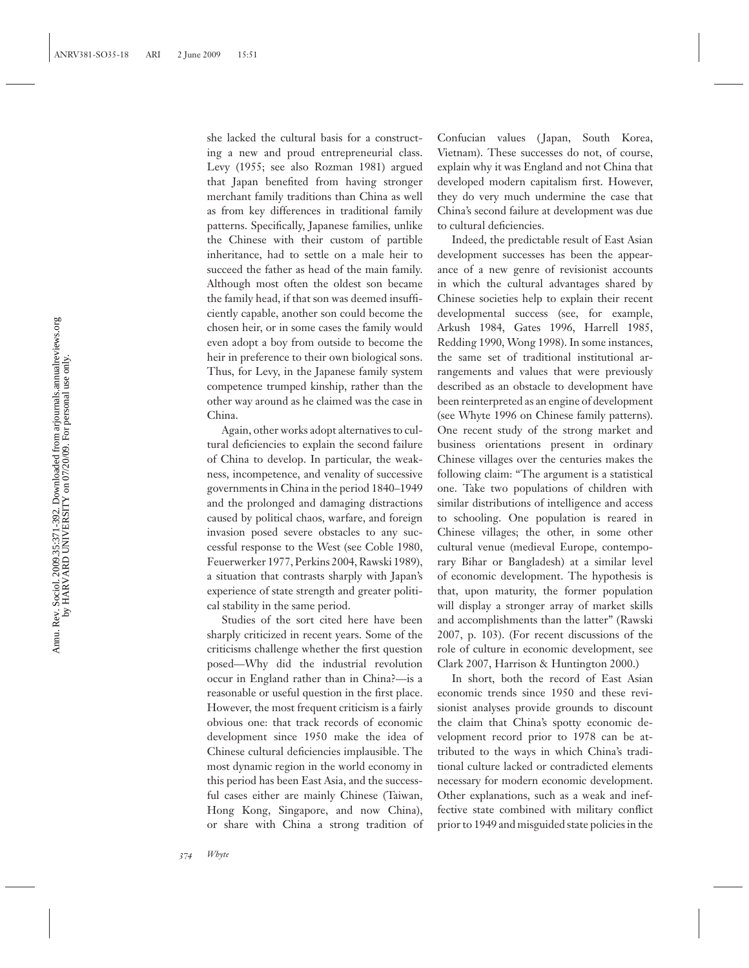she lacked the cultural basis for a constructing a new and proud entrepreneurial class. Levy (1955; see also Rozman 1981) argued that Japan benefited from having stronger merchant family traditions than China as well as from key differences in traditional family patterns. Specifically, Japanese families, unlike the Chinese with their custom of partible inheritance, had to settle on a male heir to succeed the father as head of the main family. Although most often the oldest son became the family head, if that son was deemed insufficiently capable, another son could become the chosen heir, or in some cases the family would even adopt a boy from outside to become the heir in preference to their own biological sons. Thus, for Levy, in the Japanese family system competence trumped kinship, rather than the other way around as he claimed was the case in China.

Again, other works adopt alternatives to cultural deficiencies to explain the second failure of China to develop. In particular, the weakness, incompetence, and venality of successive governments in China in the period 1840–1949 and the prolonged and damaging distractions caused by political chaos, warfare, and foreign invasion posed severe obstacles to any successful response to the West (see Coble 1980, Feuerwerker 1977, Perkins 2004, Rawski 1989), a situation that contrasts sharply with Japan's experience of state strength and greater political stability in the same period.

Studies of the sort cited here have been sharply criticized in recent years. Some of the criticisms challenge whether the first question posed—Why did the industrial revolution occur in England rather than in China?—is a reasonable or useful question in the first place. However, the most frequent criticism is a fairly obvious one: that track records of economic development since 1950 make the idea of Chinese cultural deficiencies implausible. The most dynamic region in the world economy in this period has been East Asia, and the successful cases either are mainly Chinese (Taiwan, Hong Kong, Singapore, and now China), or share with China a strong tradition of Confucian values (Japan, South Korea, Vietnam). These successes do not, of course, explain why it was England and not China that developed modern capitalism first. However, they do very much undermine the case that China's second failure at development was due to cultural deficiencies.

Indeed, the predictable result of East Asian development successes has been the appearance of a new genre of revisionist accounts in which the cultural advantages shared by Chinese societies help to explain their recent developmental success (see, for example, Arkush 1984, Gates 1996, Harrell 1985, Redding 1990, Wong 1998). In some instances, the same set of traditional institutional arrangements and values that were previously described as an obstacle to development have been reinterpreted as an engine of development (see Whyte 1996 on Chinese family patterns). One recent study of the strong market and business orientations present in ordinary Chinese villages over the centuries makes the following claim: "The argument is a statistical one. Take two populations of children with similar distributions of intelligence and access to schooling. One population is reared in Chinese villages; the other, in some other cultural venue (medieval Europe, contemporary Bihar or Bangladesh) at a similar level of economic development. The hypothesis is that, upon maturity, the former population will display a stronger array of market skills and accomplishments than the latter" (Rawski 2007, p. 103). (For recent discussions of the role of culture in economic development, see Clark 2007, Harrison & Huntington 2000.)

In short, both the record of East Asian economic trends since 1950 and these revisionist analyses provide grounds to discount the claim that China's spotty economic development record prior to 1978 can be attributed to the ways in which China's traditional culture lacked or contradicted elements necessary for modern economic development. Other explanations, such as a weak and ineffective state combined with military conflict prior to 1949 and misguided state policies in the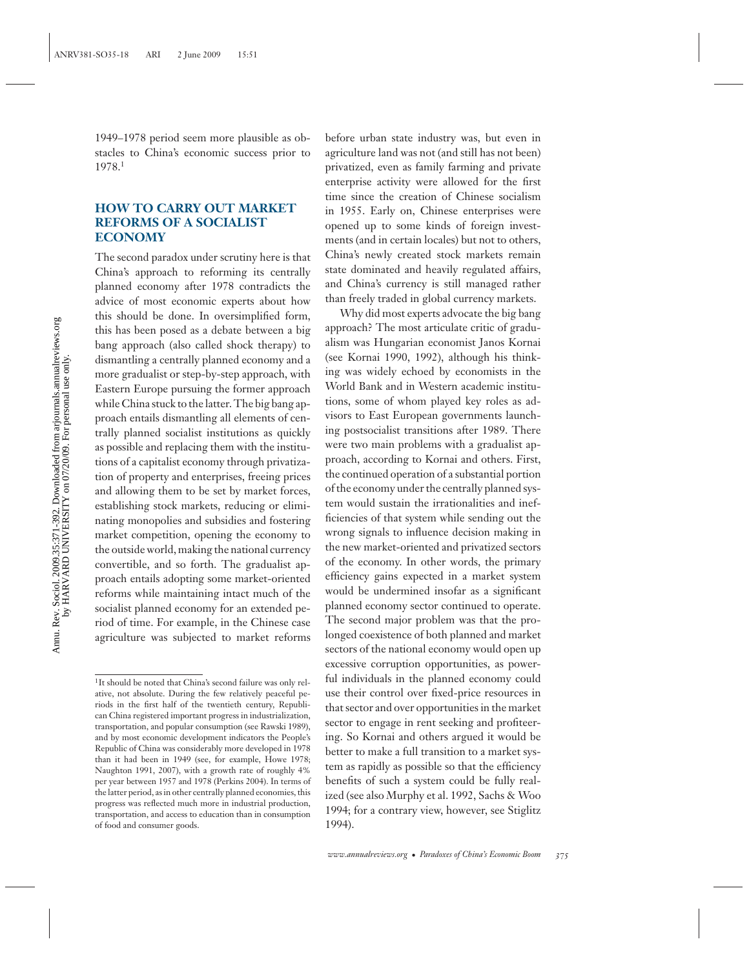1949–1978 period seem more plausible as obstacles to China's economic success prior to 1978.1

## **HOW TO CARRY OUT MARKET REFORMS OF A SOCIALIST ECONOMY**

The second paradox under scrutiny here is that China's approach to reforming its centrally planned economy after 1978 contradicts the advice of most economic experts about how this should be done. In oversimplified form, this has been posed as a debate between a big bang approach (also called shock therapy) to dismantling a centrally planned economy and a more gradualist or step-by-step approach, with Eastern Europe pursuing the former approach while China stuck to the latter. The big bang approach entails dismantling all elements of centrally planned socialist institutions as quickly as possible and replacing them with the institutions of a capitalist economy through privatization of property and enterprises, freeing prices and allowing them to be set by market forces, establishing stock markets, reducing or eliminating monopolies and subsidies and fostering market competition, opening the economy to the outside world, making the national currency convertible, and so forth. The gradualist approach entails adopting some market-oriented reforms while maintaining intact much of the socialist planned economy for an extended period of time. For example, in the Chinese case agriculture was subjected to market reforms before urban state industry was, but even in agriculture land was not (and still has not been) privatized, even as family farming and private enterprise activity were allowed for the first time since the creation of Chinese socialism in 1955. Early on, Chinese enterprises were opened up to some kinds of foreign investments (and in certain locales) but not to others, China's newly created stock markets remain state dominated and heavily regulated affairs, and China's currency is still managed rather than freely traded in global currency markets.

Why did most experts advocate the big bang approach? The most articulate critic of gradualism was Hungarian economist Janos Kornai (see Kornai 1990, 1992), although his thinking was widely echoed by economists in the World Bank and in Western academic institutions, some of whom played key roles as advisors to East European governments launching postsocialist transitions after 1989. There were two main problems with a gradualist approach, according to Kornai and others. First, the continued operation of a substantial portion of the economy under the centrally planned system would sustain the irrationalities and inefficiencies of that system while sending out the wrong signals to influence decision making in the new market-oriented and privatized sectors of the economy. In other words, the primary efficiency gains expected in a market system would be undermined insofar as a significant planned economy sector continued to operate. The second major problem was that the prolonged coexistence of both planned and market sectors of the national economy would open up excessive corruption opportunities, as powerful individuals in the planned economy could use their control over fixed-price resources in that sector and over opportunities in the market sector to engage in rent seeking and profiteering. So Kornai and others argued it would be better to make a full transition to a market system as rapidly as possible so that the efficiency benefits of such a system could be fully realized (see also Murphy et al. 1992, Sachs & Woo 1994; for a contrary view, however, see Stiglitz 1994).

<sup>&</sup>lt;sup>1</sup>It should be noted that China's second failure was only relative, not absolute. During the few relatively peaceful periods in the first half of the twentieth century, Republican China registered important progress in industrialization, transportation, and popular consumption (see Rawski 1989), and by most economic development indicators the People's Republic of China was considerably more developed in 1978 than it had been in 1949 (see, for example, Howe 1978; Naughton 1991, 2007), with a growth rate of roughly 4% per year between 1957 and 1978 (Perkins 2004). In terms of the latter period, as in other centrally planned economies, this progress was reflected much more in industrial production, transportation, and access to education than in consumption of food and consumer goods.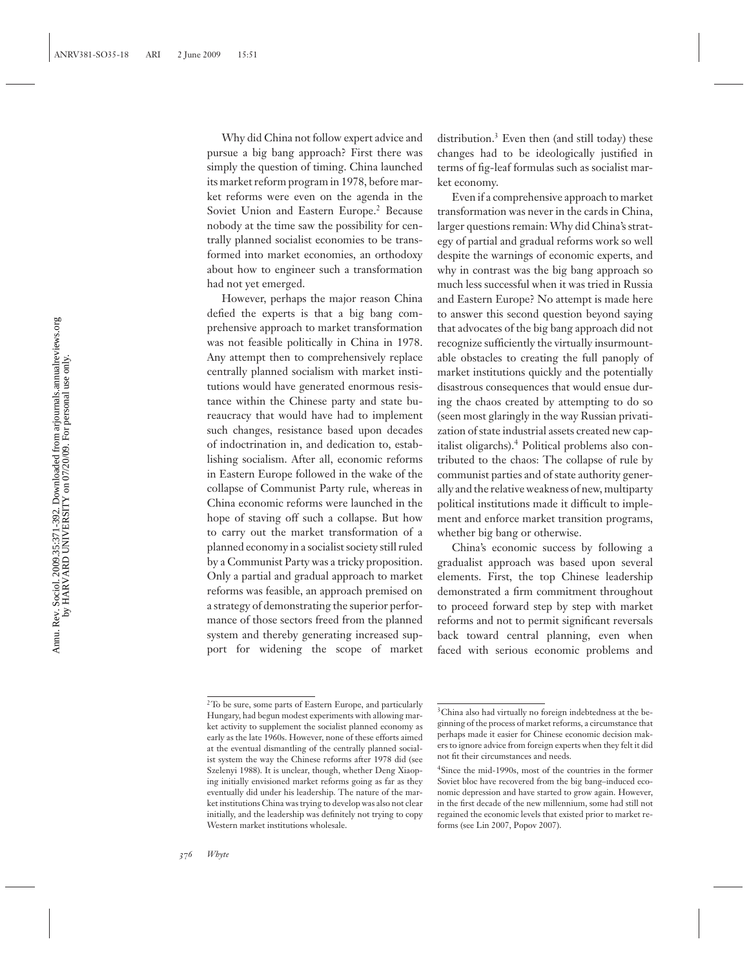Why did China not follow expert advice and pursue a big bang approach? First there was simply the question of timing. China launched its market reform program in 1978, before market reforms were even on the agenda in the Soviet Union and Eastern Europe.<sup>2</sup> Because nobody at the time saw the possibility for centrally planned socialist economies to be transformed into market economies, an orthodoxy about how to engineer such a transformation had not yet emerged.

However, perhaps the major reason China defied the experts is that a big bang comprehensive approach to market transformation was not feasible politically in China in 1978. Any attempt then to comprehensively replace centrally planned socialism with market institutions would have generated enormous resistance within the Chinese party and state bureaucracy that would have had to implement such changes, resistance based upon decades of indoctrination in, and dedication to, establishing socialism. After all, economic reforms in Eastern Europe followed in the wake of the collapse of Communist Party rule, whereas in China economic reforms were launched in the hope of staving off such a collapse. But how to carry out the market transformation of a planned economy in a socialist society still ruled by a Communist Party was a tricky proposition. Only a partial and gradual approach to market reforms was feasible, an approach premised on a strategy of demonstrating the superior performance of those sectors freed from the planned system and thereby generating increased support for widening the scope of market distribution.<sup>3</sup> Even then (and still today) these changes had to be ideologically justified in terms of fig-leaf formulas such as socialist market economy.

Even if a comprehensive approach to market transformation was never in the cards in China, larger questions remain: Why did China's strategy of partial and gradual reforms work so well despite the warnings of economic experts, and why in contrast was the big bang approach so much less successful when it was tried in Russia and Eastern Europe? No attempt is made here to answer this second question beyond saying that advocates of the big bang approach did not recognize sufficiently the virtually insurmountable obstacles to creating the full panoply of market institutions quickly and the potentially disastrous consequences that would ensue during the chaos created by attempting to do so (seen most glaringly in the way Russian privatization of state industrial assets created new capitalist oligarchs).<sup>4</sup> Political problems also contributed to the chaos: The collapse of rule by communist parties and of state authority generally and the relative weakness of new, multiparty political institutions made it difficult to implement and enforce market transition programs, whether big bang or otherwise.

China's economic success by following a gradualist approach was based upon several elements. First, the top Chinese leadership demonstrated a firm commitment throughout to proceed forward step by step with market reforms and not to permit significant reversals back toward central planning, even when faced with serious economic problems and

<sup>2</sup>To be sure, some parts of Eastern Europe, and particularly Hungary, had begun modest experiments with allowing market activity to supplement the socialist planned economy as early as the late 1960s. However, none of these efforts aimed at the eventual dismantling of the centrally planned socialist system the way the Chinese reforms after 1978 did (see Szelenyi 1988). It is unclear, though, whether Deng Xiaoping initially envisioned market reforms going as far as they eventually did under his leadership. The nature of the market institutions China was trying to develop was also not clear initially, and the leadership was definitely not trying to copy Western market institutions wholesale.

<sup>&</sup>lt;sup>3</sup>China also had virtually no foreign indebtedness at the beginning of the process of market reforms, a circumstance that perhaps made it easier for Chinese economic decision makers to ignore advice from foreign experts when they felt it did not fit their circumstances and needs.

<sup>4</sup>Since the mid-1990s, most of the countries in the former Soviet bloc have recovered from the big bang–induced economic depression and have started to grow again. However, in the first decade of the new millennium, some had still not regained the economic levels that existed prior to market reforms (see Lin 2007, Popov 2007).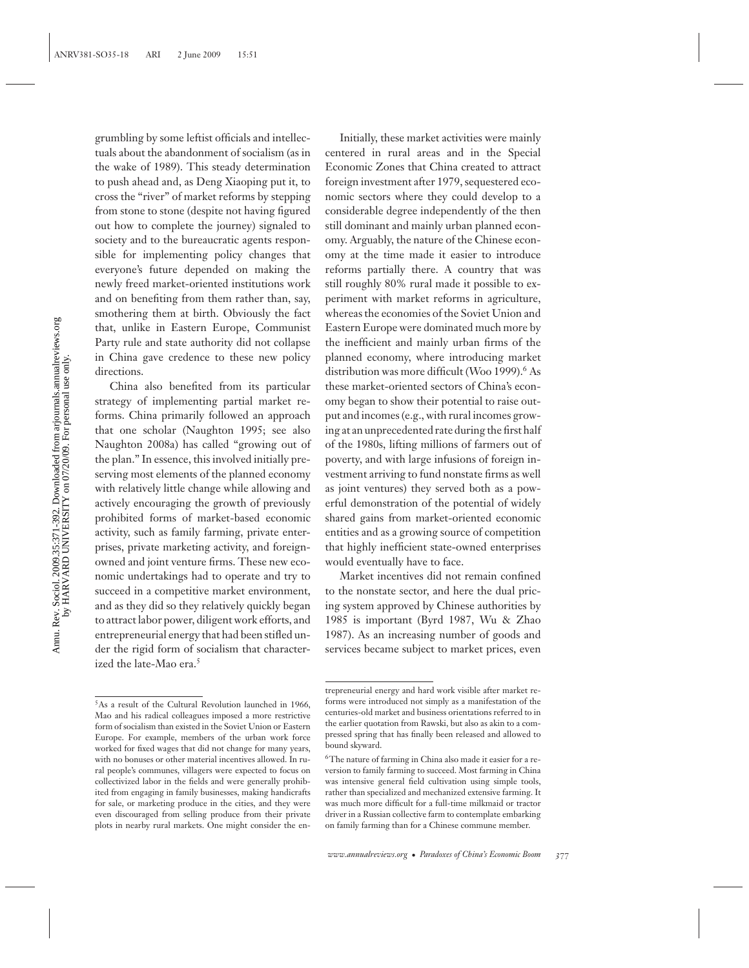grumbling by some leftist officials and intellectuals about the abandonment of socialism (as in the wake of 1989). This steady determination to push ahead and, as Deng Xiaoping put it, to cross the "river" of market reforms by stepping from stone to stone (despite not having figured out how to complete the journey) signaled to society and to the bureaucratic agents responsible for implementing policy changes that everyone's future depended on making the newly freed market-oriented institutions work and on benefiting from them rather than, say, smothering them at birth. Obviously the fact that, unlike in Eastern Europe, Communist Party rule and state authority did not collapse in China gave credence to these new policy directions.

China also benefited from its particular strategy of implementing partial market reforms. China primarily followed an approach that one scholar (Naughton 1995; see also Naughton 2008a) has called "growing out of the plan." In essence, this involved initially preserving most elements of the planned economy with relatively little change while allowing and actively encouraging the growth of previously prohibited forms of market-based economic activity, such as family farming, private enterprises, private marketing activity, and foreignowned and joint venture firms. These new economic undertakings had to operate and try to succeed in a competitive market environment, and as they did so they relatively quickly began to attract labor power, diligent work efforts, and entrepreneurial energy that had been stifled under the rigid form of socialism that characterized the late-Mao era.<sup>5</sup>

Initially, these market activities were mainly centered in rural areas and in the Special Economic Zones that China created to attract foreign investment after 1979, sequestered economic sectors where they could develop to a considerable degree independently of the then still dominant and mainly urban planned economy. Arguably, the nature of the Chinese economy at the time made it easier to introduce reforms partially there. A country that was still roughly 80% rural made it possible to experiment with market reforms in agriculture, whereas the economies of the Soviet Union and Eastern Europe were dominated much more by the inefficient and mainly urban firms of the planned economy, where introducing market distribution was more difficult (Woo 1999).<sup>6</sup> As these market-oriented sectors of China's economy began to show their potential to raise output and incomes (e.g., with rural incomes growing at an unprecedented rate during the first half of the 1980s, lifting millions of farmers out of poverty, and with large infusions of foreign investment arriving to fund nonstate firms as well as joint ventures) they served both as a powerful demonstration of the potential of widely shared gains from market-oriented economic entities and as a growing source of competition that highly inefficient state-owned enterprises would eventually have to face.

Market incentives did not remain confined to the nonstate sector, and here the dual pricing system approved by Chinese authorities by 1985 is important (Byrd 1987, Wu & Zhao 1987). As an increasing number of goods and services became subject to market prices, even

<sup>5</sup>As a result of the Cultural Revolution launched in 1966, Mao and his radical colleagues imposed a more restrictive form of socialism than existed in the Soviet Union or Eastern Europe. For example, members of the urban work force worked for fixed wages that did not change for many years, with no bonuses or other material incentives allowed. In rural people's communes, villagers were expected to focus on collectivized labor in the fields and were generally prohibited from engaging in family businesses, making handicrafts for sale, or marketing produce in the cities, and they were even discouraged from selling produce from their private plots in nearby rural markets. One might consider the en-

trepreneurial energy and hard work visible after market reforms were introduced not simply as a manifestation of the centuries-old market and business orientations referred to in the earlier quotation from Rawski, but also as akin to a compressed spring that has finally been released and allowed to bound skyward.

<sup>6</sup>The nature of farming in China also made it easier for a reversion to family farming to succeed. Most farming in China was intensive general field cultivation using simple tools, rather than specialized and mechanized extensive farming. It was much more difficult for a full-time milkmaid or tractor driver in a Russian collective farm to contemplate embarking on family farming than for a Chinese commune member.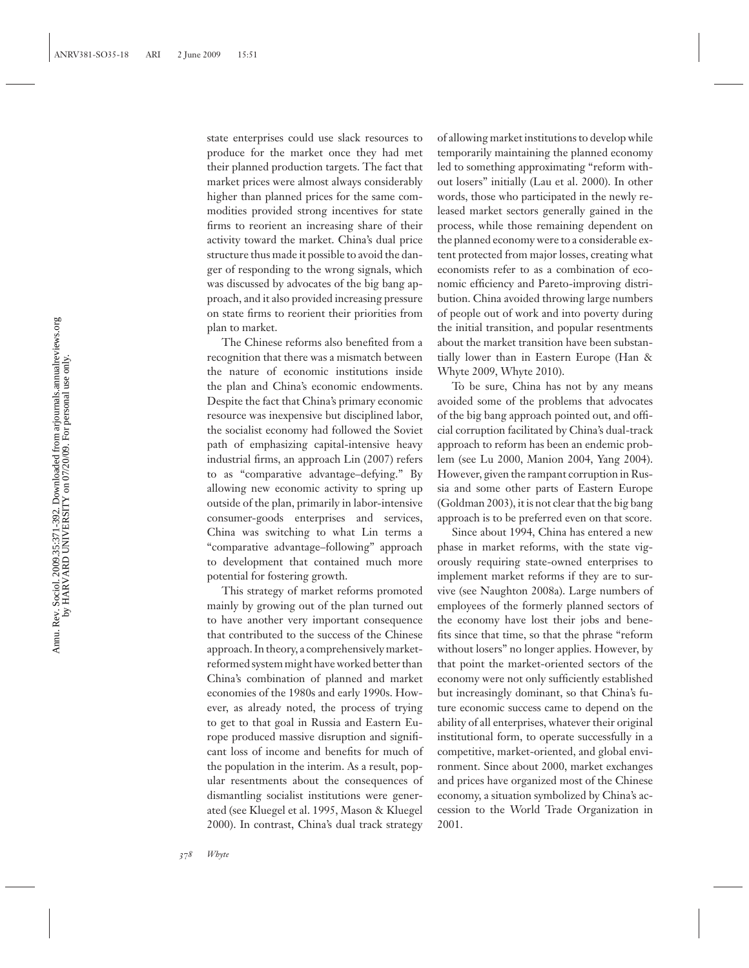state enterprises could use slack resources to produce for the market once they had met their planned production targets. The fact that market prices were almost always considerably higher than planned prices for the same commodities provided strong incentives for state firms to reorient an increasing share of their activity toward the market. China's dual price structure thus made it possible to avoid the danger of responding to the wrong signals, which was discussed by advocates of the big bang approach, and it also provided increasing pressure on state firms to reorient their priorities from plan to market.

The Chinese reforms also benefited from a recognition that there was a mismatch between the nature of economic institutions inside the plan and China's economic endowments. Despite the fact that China's primary economic resource was inexpensive but disciplined labor, the socialist economy had followed the Soviet path of emphasizing capital-intensive heavy industrial firms, an approach Lin (2007) refers to as "comparative advantage–defying." By allowing new economic activity to spring up outside of the plan, primarily in labor-intensive consumer-goods enterprises and services, China was switching to what Lin terms a "comparative advantage–following" approach to development that contained much more potential for fostering growth.

This strategy of market reforms promoted mainly by growing out of the plan turned out to have another very important consequence that contributed to the success of the Chinese approach. In theory, a comprehensively marketreformed system might have worked better than China's combination of planned and market economies of the 1980s and early 1990s. However, as already noted, the process of trying to get to that goal in Russia and Eastern Europe produced massive disruption and significant loss of income and benefits for much of the population in the interim. As a result, popular resentments about the consequences of dismantling socialist institutions were generated (see Kluegel et al. 1995, Mason & Kluegel 2000). In contrast, China's dual track strategy

of allowing market institutions to develop while temporarily maintaining the planned economy led to something approximating "reform without losers" initially (Lau et al. 2000). In other words, those who participated in the newly released market sectors generally gained in the process, while those remaining dependent on the planned economy were to a considerable extent protected from major losses, creating what economists refer to as a combination of economic efficiency and Pareto-improving distribution. China avoided throwing large numbers of people out of work and into poverty during the initial transition, and popular resentments about the market transition have been substantially lower than in Eastern Europe (Han & Whyte 2009, Whyte 2010).

To be sure, China has not by any means avoided some of the problems that advocates of the big bang approach pointed out, and official corruption facilitated by China's dual-track approach to reform has been an endemic problem (see Lu 2000, Manion 2004, Yang 2004). However, given the rampant corruption in Russia and some other parts of Eastern Europe (Goldman 2003), it is not clear that the big bang approach is to be preferred even on that score.

Since about 1994, China has entered a new phase in market reforms, with the state vigorously requiring state-owned enterprises to implement market reforms if they are to survive (see Naughton 2008a). Large numbers of employees of the formerly planned sectors of the economy have lost their jobs and benefits since that time, so that the phrase "reform without losers" no longer applies. However, by that point the market-oriented sectors of the economy were not only sufficiently established but increasingly dominant, so that China's future economic success came to depend on the ability of all enterprises, whatever their original institutional form, to operate successfully in a competitive, market-oriented, and global environment. Since about 2000, market exchanges and prices have organized most of the Chinese economy, a situation symbolized by China's accession to the World Trade Organization in 2001.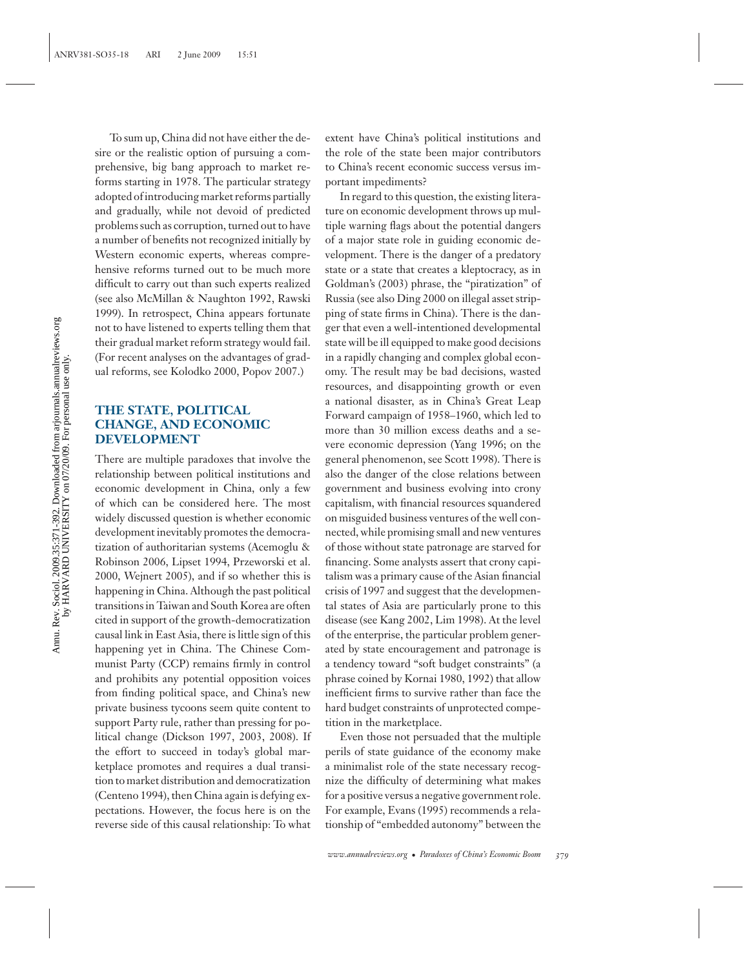To sum up, China did not have either the desire or the realistic option of pursuing a comprehensive, big bang approach to market reforms starting in 1978. The particular strategy adopted of introducing market reforms partially and gradually, while not devoid of predicted problems such as corruption, turned out to have a number of benefits not recognized initially by Western economic experts, whereas comprehensive reforms turned out to be much more difficult to carry out than such experts realized (see also McMillan & Naughton 1992, Rawski 1999). In retrospect, China appears fortunate not to have listened to experts telling them that their gradual market reform strategy would fail. (For recent analyses on the advantages of gradual reforms, see Kolodko 2000, Popov 2007.)

### **THE STATE, POLITICAL CHANGE, AND ECONOMIC DEVELOPMENT**

There are multiple paradoxes that involve the relationship between political institutions and economic development in China, only a few of which can be considered here. The most widely discussed question is whether economic development inevitably promotes the democratization of authoritarian systems (Acemoglu & Robinson 2006, Lipset 1994, Przeworski et al. 2000, Wejnert 2005), and if so whether this is happening in China. Although the past political transitions in Taiwan and South Korea are often cited in support of the growth-democratization causal link in East Asia, there is little sign of this happening yet in China. The Chinese Communist Party (CCP) remains firmly in control and prohibits any potential opposition voices from finding political space, and China's new private business tycoons seem quite content to support Party rule, rather than pressing for political change (Dickson 1997, 2003, 2008). If the effort to succeed in today's global marketplace promotes and requires a dual transition to market distribution and democratization (Centeno 1994), then China again is defying expectations. However, the focus here is on the reverse side of this causal relationship: To what

extent have China's political institutions and the role of the state been major contributors to China's recent economic success versus important impediments?

In regard to this question, the existing literature on economic development throws up multiple warning flags about the potential dangers of a major state role in guiding economic development. There is the danger of a predatory state or a state that creates a kleptocracy, as in Goldman's (2003) phrase, the "piratization" of Russia (see also Ding 2000 on illegal asset stripping of state firms in China). There is the danger that even a well-intentioned developmental state will be ill equipped to make good decisions in a rapidly changing and complex global economy. The result may be bad decisions, wasted resources, and disappointing growth or even a national disaster, as in China's Great Leap Forward campaign of 1958–1960, which led to more than 30 million excess deaths and a severe economic depression (Yang 1996; on the general phenomenon, see Scott 1998). There is also the danger of the close relations between government and business evolving into crony capitalism, with financial resources squandered on misguided business ventures of the well connected, while promising small and new ventures of those without state patronage are starved for financing. Some analysts assert that crony capitalism was a primary cause of the Asian financial crisis of 1997 and suggest that the developmental states of Asia are particularly prone to this disease (see Kang 2002, Lim 1998). At the level of the enterprise, the particular problem generated by state encouragement and patronage is a tendency toward "soft budget constraints" (a phrase coined by Kornai 1980, 1992) that allow inefficient firms to survive rather than face the hard budget constraints of unprotected competition in the marketplace.

Even those not persuaded that the multiple perils of state guidance of the economy make a minimalist role of the state necessary recognize the difficulty of determining what makes for a positive versus a negative government role. For example, Evans (1995) recommends a relationship of "embedded autonomy" between the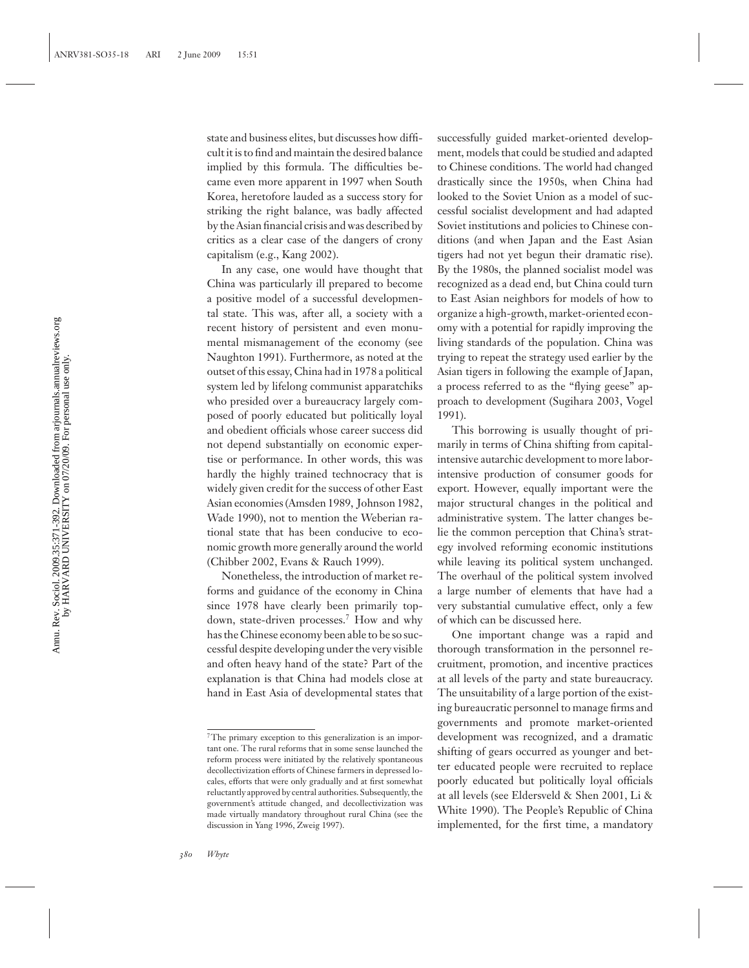state and business elites, but discusses how difficult it is to find and maintain the desired balance implied by this formula. The difficulties became even more apparent in 1997 when South Korea, heretofore lauded as a success story for striking the right balance, was badly affected by the Asian financial crisis and was described by critics as a clear case of the dangers of crony capitalism (e.g., Kang 2002).

In any case, one would have thought that China was particularly ill prepared to become a positive model of a successful developmental state. This was, after all, a society with a recent history of persistent and even monumental mismanagement of the economy (see Naughton 1991). Furthermore, as noted at the outset of this essay, China had in 1978 a political system led by lifelong communist apparatchiks who presided over a bureaucracy largely composed of poorly educated but politically loyal and obedient officials whose career success did not depend substantially on economic expertise or performance. In other words, this was hardly the highly trained technocracy that is widely given credit for the success of other East Asian economies (Amsden 1989, Johnson 1982, Wade 1990), not to mention the Weberian rational state that has been conducive to economic growth more generally around the world (Chibber 2002, Evans & Rauch 1999).

Nonetheless, the introduction of market reforms and guidance of the economy in China since 1978 have clearly been primarily topdown, state-driven processes.<sup>7</sup> How and why has the Chinese economy been able to be so successful despite developing under the very visible and often heavy hand of the state? Part of the explanation is that China had models close at hand in East Asia of developmental states that successfully guided market-oriented development, models that could be studied and adapted to Chinese conditions. The world had changed drastically since the 1950s, when China had looked to the Soviet Union as a model of successful socialist development and had adapted Soviet institutions and policies to Chinese conditions (and when Japan and the East Asian tigers had not yet begun their dramatic rise). By the 1980s, the planned socialist model was recognized as a dead end, but China could turn to East Asian neighbors for models of how to organize a high-growth, market-oriented economy with a potential for rapidly improving the living standards of the population. China was trying to repeat the strategy used earlier by the Asian tigers in following the example of Japan, a process referred to as the "flying geese" approach to development (Sugihara 2003, Vogel 1991).

This borrowing is usually thought of primarily in terms of China shifting from capitalintensive autarchic development to more laborintensive production of consumer goods for export. However, equally important were the major structural changes in the political and administrative system. The latter changes belie the common perception that China's strategy involved reforming economic institutions while leaving its political system unchanged. The overhaul of the political system involved a large number of elements that have had a very substantial cumulative effect, only a few of which can be discussed here.

One important change was a rapid and thorough transformation in the personnel recruitment, promotion, and incentive practices at all levels of the party and state bureaucracy. The unsuitability of a large portion of the existing bureaucratic personnel to manage firms and governments and promote market-oriented development was recognized, and a dramatic shifting of gears occurred as younger and better educated people were recruited to replace poorly educated but politically loyal officials at all levels (see Eldersveld & Shen 2001, Li & White 1990). The People's Republic of China implemented, for the first time, a mandatory

<sup>7</sup>The primary exception to this generalization is an important one. The rural reforms that in some sense launched the reform process were initiated by the relatively spontaneous decollectivization efforts of Chinese farmers in depressed locales, efforts that were only gradually and at first somewhat reluctantly approved by central authorities. Subsequently, the government's attitude changed, and decollectivization was made virtually mandatory throughout rural China (see the discussion in Yang 1996, Zweig 1997).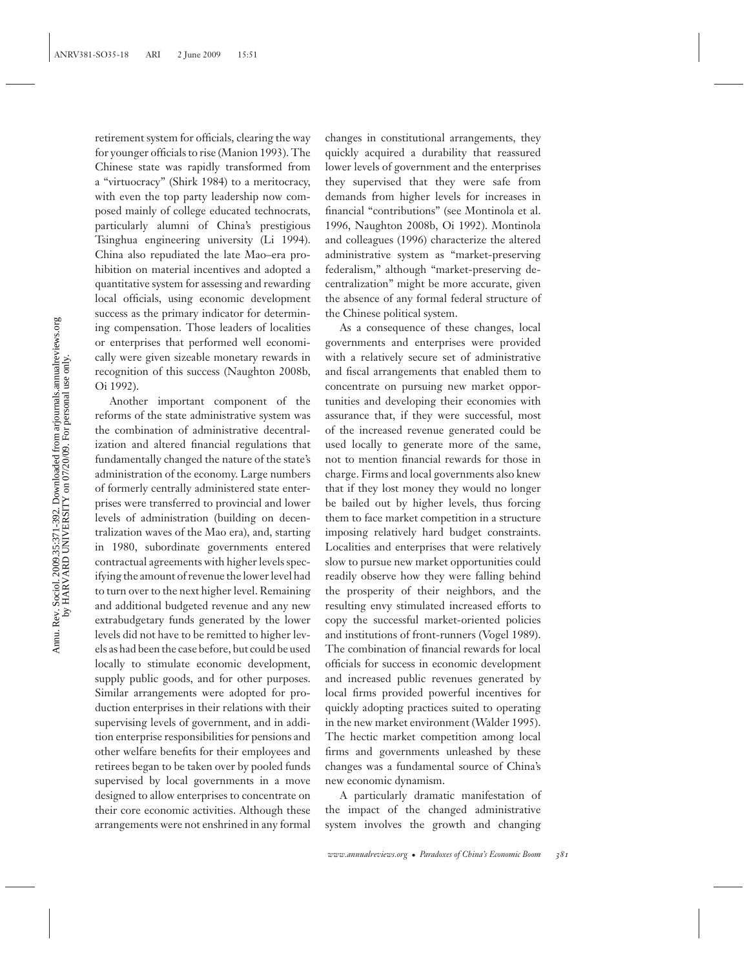Annu. Rev. Sociol. 2009.35:371-392. Downloaded from arjournals.amualreviews.org<br>by HARVARD UNIVERSITY on 07/20/09. For personal use only. Annu. Rev. Sociol. 2009.35:371-392. Downloaded from arjournals.annualreviews.org by HARVARD UNIVERSITY on 07/20/09. For personal use only.

retirement system for officials, clearing the way for younger officials to rise (Manion 1993). The Chinese state was rapidly transformed from a "virtuocracy" (Shirk 1984) to a meritocracy, with even the top party leadership now composed mainly of college educated technocrats, particularly alumni of China's prestigious Tsinghua engineering university (Li 1994). China also repudiated the late Mao–era prohibition on material incentives and adopted a quantitative system for assessing and rewarding local officials, using economic development success as the primary indicator for determining compensation. Those leaders of localities or enterprises that performed well economically were given sizeable monetary rewards in recognition of this success (Naughton 2008b, Oi 1992).

Another important component of the reforms of the state administrative system was the combination of administrative decentralization and altered financial regulations that fundamentally changed the nature of the state's administration of the economy. Large numbers of formerly centrally administered state enterprises were transferred to provincial and lower levels of administration (building on decentralization waves of the Mao era), and, starting in 1980, subordinate governments entered contractual agreements with higher levels specifying the amount of revenue the lower level had to turn over to the next higher level. Remaining and additional budgeted revenue and any new extrabudgetary funds generated by the lower levels did not have to be remitted to higher levels as had been the case before, but could be used locally to stimulate economic development, supply public goods, and for other purposes. Similar arrangements were adopted for production enterprises in their relations with their supervising levels of government, and in addition enterprise responsibilities for pensions and other welfare benefits for their employees and retirees began to be taken over by pooled funds supervised by local governments in a move designed to allow enterprises to concentrate on their core economic activities. Although these arrangements were not enshrined in any formal

changes in constitutional arrangements, they quickly acquired a durability that reassured lower levels of government and the enterprises they supervised that they were safe from demands from higher levels for increases in financial "contributions" (see Montinola et al. 1996, Naughton 2008b, Oi 1992). Montinola and colleagues (1996) characterize the altered administrative system as "market-preserving federalism," although "market-preserving decentralization" might be more accurate, given the absence of any formal federal structure of the Chinese political system.

As a consequence of these changes, local governments and enterprises were provided with a relatively secure set of administrative and fiscal arrangements that enabled them to concentrate on pursuing new market opportunities and developing their economies with assurance that, if they were successful, most of the increased revenue generated could be used locally to generate more of the same, not to mention financial rewards for those in charge. Firms and local governments also knew that if they lost money they would no longer be bailed out by higher levels, thus forcing them to face market competition in a structure imposing relatively hard budget constraints. Localities and enterprises that were relatively slow to pursue new market opportunities could readily observe how they were falling behind the prosperity of their neighbors, and the resulting envy stimulated increased efforts to copy the successful market-oriented policies and institutions of front-runners (Vogel 1989). The combination of financial rewards for local officials for success in economic development and increased public revenues generated by local firms provided powerful incentives for quickly adopting practices suited to operating in the new market environment (Walder 1995). The hectic market competition among local firms and governments unleashed by these changes was a fundamental source of China's new economic dynamism.

A particularly dramatic manifestation of the impact of the changed administrative system involves the growth and changing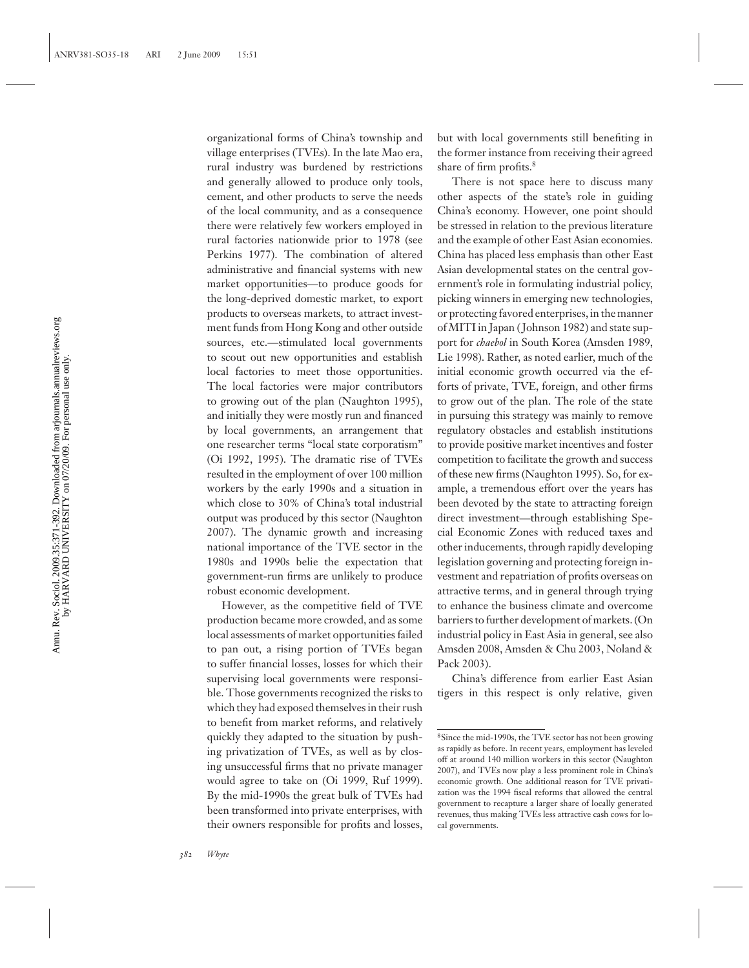organizational forms of China's township and village enterprises (TVEs). In the late Mao era, rural industry was burdened by restrictions and generally allowed to produce only tools, cement, and other products to serve the needs of the local community, and as a consequence there were relatively few workers employed in rural factories nationwide prior to 1978 (see Perkins 1977). The combination of altered administrative and financial systems with new market opportunities—to produce goods for the long-deprived domestic market, to export products to overseas markets, to attract investment funds from Hong Kong and other outside sources, etc.—stimulated local governments to scout out new opportunities and establish local factories to meet those opportunities. The local factories were major contributors to growing out of the plan (Naughton 1995), and initially they were mostly run and financed by local governments, an arrangement that one researcher terms "local state corporatism" (Oi 1992, 1995). The dramatic rise of TVEs resulted in the employment of over 100 million workers by the early 1990s and a situation in which close to 30% of China's total industrial output was produced by this sector (Naughton 2007). The dynamic growth and increasing national importance of the TVE sector in the 1980s and 1990s belie the expectation that government-run firms are unlikely to produce robust economic development.

However, as the competitive field of TVE production became more crowded, and as some local assessments of market opportunities failed to pan out, a rising portion of TVEs began to suffer financial losses, losses for which their supervising local governments were responsible. Those governments recognized the risks to which they had exposed themselves in their rush to benefit from market reforms, and relatively quickly they adapted to the situation by pushing privatization of TVEs, as well as by closing unsuccessful firms that no private manager would agree to take on (Oi 1999, Ruf 1999). By the mid-1990s the great bulk of TVEs had been transformed into private enterprises, with their owners responsible for profits and losses,

but with local governments still benefiting in the former instance from receiving their agreed share of firm profits.<sup>8</sup>

There is not space here to discuss many other aspects of the state's role in guiding China's economy. However, one point should be stressed in relation to the previous literature and the example of other East Asian economies. China has placed less emphasis than other East Asian developmental states on the central government's role in formulating industrial policy, picking winners in emerging new technologies, or protecting favored enterprises, in the manner of MITI in Japan ( Johnson 1982) and state support for *chaebol* in South Korea (Amsden 1989, Lie 1998). Rather, as noted earlier, much of the initial economic growth occurred via the efforts of private, TVE, foreign, and other firms to grow out of the plan. The role of the state in pursuing this strategy was mainly to remove regulatory obstacles and establish institutions to provide positive market incentives and foster competition to facilitate the growth and success of these new firms (Naughton 1995). So, for example, a tremendous effort over the years has been devoted by the state to attracting foreign direct investment—through establishing Special Economic Zones with reduced taxes and other inducements, through rapidly developing legislation governing and protecting foreign investment and repatriation of profits overseas on attractive terms, and in general through trying to enhance the business climate and overcome barriers to further development of markets. (On industrial policy in East Asia in general, see also Amsden 2008, Amsden & Chu 2003, Noland & Pack 2003).

China's difference from earlier East Asian tigers in this respect is only relative, given

<sup>8</sup>Since the mid-1990s, the TVE sector has not been growing as rapidly as before. In recent years, employment has leveled off at around 140 million workers in this sector (Naughton 2007), and TVEs now play a less prominent role in China's economic growth. One additional reason for TVE privatization was the 1994 fiscal reforms that allowed the central government to recapture a larger share of locally generated revenues, thus making TVEs less attractive cash cows for local governments.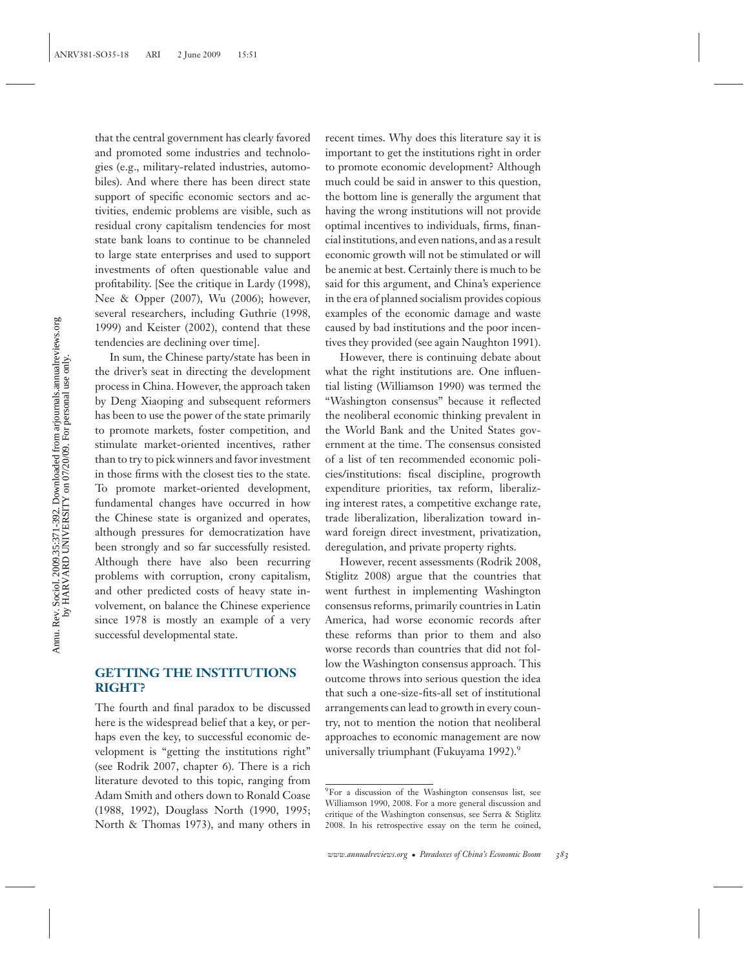that the central government has clearly favored and promoted some industries and technologies (e.g., military-related industries, automobiles). And where there has been direct state support of specific economic sectors and activities, endemic problems are visible, such as residual crony capitalism tendencies for most state bank loans to continue to be channeled to large state enterprises and used to support investments of often questionable value and profitability. [See the critique in Lardy (1998), Nee & Opper (2007), Wu (2006); however, several researchers, including Guthrie (1998, 1999) and Keister (2002), contend that these tendencies are declining over time]. In sum, the Chinese party/state has been in

the driver's seat in directing the development process in China. However, the approach taken by Deng Xiaoping and subsequent reformers has been to use the power of the state primarily to promote markets, foster competition, and stimulate market-oriented incentives, rather than to try to pick winners and favor investment in those firms with the closest ties to the state. To promote market-oriented development, fundamental changes have occurred in how the Chinese state is organized and operates, although pressures for democratization have been strongly and so far successfully resisted. Although there have also been recurring problems with corruption, crony capitalism, and other predicted costs of heavy state involvement, on balance the Chinese experience since 1978 is mostly an example of a very successful developmental state.

## **GETTING THE INSTITUTIONS RIGHT?**

The fourth and final paradox to be discussed here is the widespread belief that a key, or perhaps even the key, to successful economic development is "getting the institutions right" (see Rodrik 2007, chapter 6). There is a rich literature devoted to this topic, ranging from Adam Smith and others down to Ronald Coase (1988, 1992), Douglass North (1990, 1995; North & Thomas 1973), and many others in

recent times. Why does this literature say it is important to get the institutions right in order to promote economic development? Although much could be said in answer to this question, the bottom line is generally the argument that having the wrong institutions will not provide optimal incentives to individuals, firms, financial institutions, and even nations, and as a result economic growth will not be stimulated or will be anemic at best. Certainly there is much to be said for this argument, and China's experience in the era of planned socialism provides copious examples of the economic damage and waste caused by bad institutions and the poor incentives they provided (see again Naughton 1991).

However, there is continuing debate about what the right institutions are. One influential listing (Williamson 1990) was termed the "Washington consensus" because it reflected the neoliberal economic thinking prevalent in the World Bank and the United States government at the time. The consensus consisted of a list of ten recommended economic policies/institutions: fiscal discipline, progrowth expenditure priorities, tax reform, liberalizing interest rates, a competitive exchange rate, trade liberalization, liberalization toward inward foreign direct investment, privatization, deregulation, and private property rights.

However, recent assessments (Rodrik 2008, Stiglitz 2008) argue that the countries that went furthest in implementing Washington consensus reforms, primarily countries in Latin America, had worse economic records after these reforms than prior to them and also worse records than countries that did not follow the Washington consensus approach. This outcome throws into serious question the idea that such a one-size-fits-all set of institutional arrangements can lead to growth in every country, not to mention the notion that neoliberal approaches to economic management are now universally triumphant (Fukuyama 1992).<sup>9</sup>

<sup>9</sup>For a discussion of the Washington consensus list, see Williamson 1990, 2008. For a more general discussion and critique of the Washington consensus, see Serra & Stiglitz 2008. In his retrospective essay on the term he coined,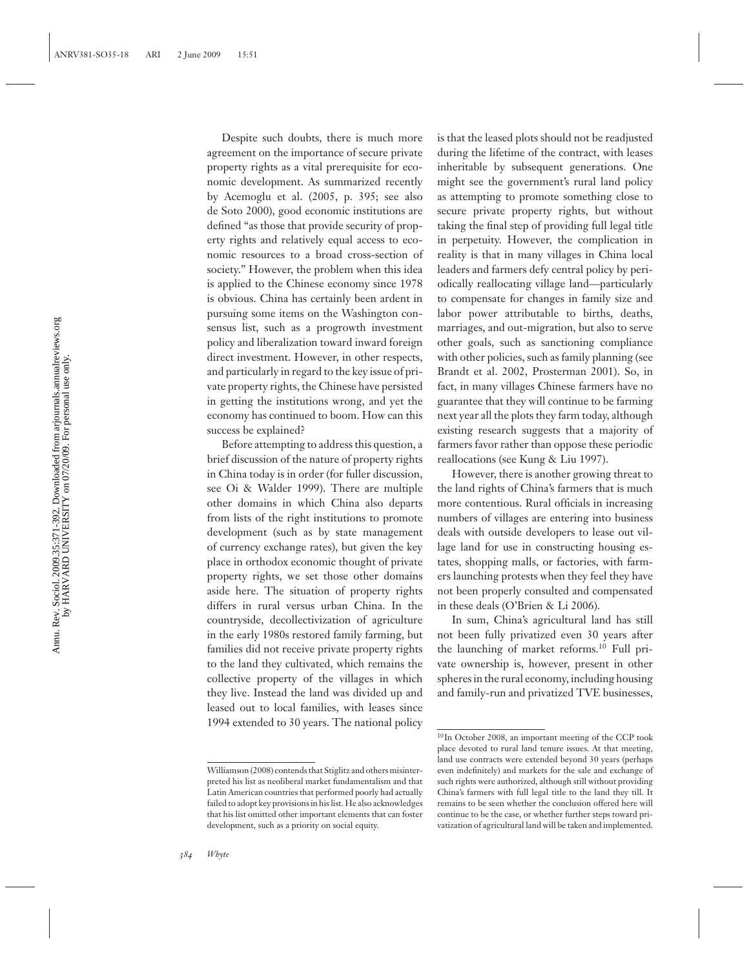Despite such doubts, there is much more agreement on the importance of secure private property rights as a vital prerequisite for economic development. As summarized recently by Acemoglu et al. (2005, p. 395; see also de Soto 2000), good economic institutions are defined "as those that provide security of property rights and relatively equal access to economic resources to a broad cross-section of society." However, the problem when this idea is applied to the Chinese economy since 1978 is obvious. China has certainly been ardent in pursuing some items on the Washington consensus list, such as a progrowth investment policy and liberalization toward inward foreign direct investment. However, in other respects, and particularly in regard to the key issue of private property rights, the Chinese have persisted in getting the institutions wrong, and yet the economy has continued to boom. How can this success be explained?

Before attempting to address this question, a brief discussion of the nature of property rights in China today is in order (for fuller discussion, see Oi & Walder 1999). There are multiple other domains in which China also departs from lists of the right institutions to promote development (such as by state management of currency exchange rates), but given the key place in orthodox economic thought of private property rights, we set those other domains aside here. The situation of property rights differs in rural versus urban China. In the countryside, decollectivization of agriculture in the early 1980s restored family farming, but families did not receive private property rights to the land they cultivated, which remains the collective property of the villages in which they live. Instead the land was divided up and leased out to local families, with leases since 1994 extended to 30 years. The national policy

is that the leased plots should not be readjusted during the lifetime of the contract, with leases inheritable by subsequent generations. One might see the government's rural land policy as attempting to promote something close to secure private property rights, but without taking the final step of providing full legal title in perpetuity. However, the complication in reality is that in many villages in China local leaders and farmers defy central policy by periodically reallocating village land—particularly to compensate for changes in family size and labor power attributable to births, deaths, marriages, and out-migration, but also to serve other goals, such as sanctioning compliance with other policies, such as family planning (see Brandt et al. 2002, Prosterman 2001). So, in fact, in many villages Chinese farmers have no guarantee that they will continue to be farming next year all the plots they farm today, although existing research suggests that a majority of farmers favor rather than oppose these periodic reallocations (see Kung & Liu 1997).

However, there is another growing threat to the land rights of China's farmers that is much more contentious. Rural officials in increasing numbers of villages are entering into business deals with outside developers to lease out village land for use in constructing housing estates, shopping malls, or factories, with farmers launching protests when they feel they have not been properly consulted and compensated in these deals (O'Brien & Li 2006).

In sum, China's agricultural land has still not been fully privatized even 30 years after the launching of market reforms.<sup>10</sup> Full private ownership is, however, present in other spheres in the rural economy, including housing and family-run and privatized TVE businesses,

Williamson (2008) contends that Stiglitz and others misinterpreted his list as neoliberal market fundamentalism and that Latin American countries that performed poorly had actually failed to adopt key provisions in his list. He also acknowledges that his list omitted other important elements that can foster development, such as a priority on social equity.

<sup>&</sup>lt;sup>10</sup>In October 2008, an important meeting of the CCP took place devoted to rural land tenure issues. At that meeting, land use contracts were extended beyond 30 years (perhaps even indefinitely) and markets for the sale and exchange of such rights were authorized, although still without providing China's farmers with full legal title to the land they till. It remains to be seen whether the conclusion offered here will continue to be the case, or whether further steps toward privatization of agricultural land will be taken and implemented.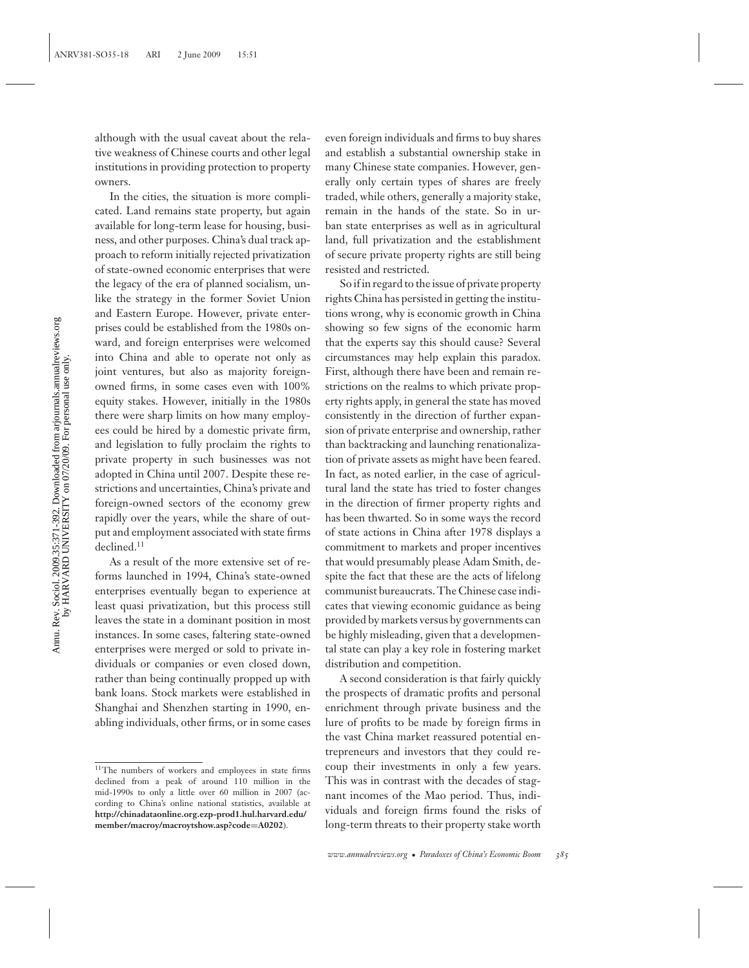although with the usual caveat about the relative weakness of Chinese courts and other legal institutions in providing protection to property owners.

In the cities, the situation is more complicated. Land remains state property, but again available for long-term lease for housing, business, and other purposes. China's dual track approach to reform initially rejected privatization of state-owned economic enterprises that were the legacy of the era of planned socialism, unlike the strategy in the former Soviet Union and Eastern Europe. However, private enterprises could be established from the 1980s onward, and foreign enterprises were welcomed into China and able to operate not only as joint ventures, but also as majority foreignowned firms, in some cases even with 100% equity stakes. However, initially in the 1980s there were sharp limits on how many employees could be hired by a domestic private firm, and legislation to fully proclaim the rights to private property in such businesses was not adopted in China until 2007. Despite these restrictions and uncertainties, China's private and foreign-owned sectors of the economy grew rapidly over the years, while the share of output and employment associated with state firms declined.11

As a result of the more extensive set of reforms launched in 1994, China's state-owned enterprises eventually began to experience at least quasi privatization, but this process still leaves the state in a dominant position in most instances. In some cases, faltering state-owned enterprises were merged or sold to private individuals or companies or even closed down, rather than being continually propped up with bank loans. Stock markets were established in Shanghai and Shenzhen starting in 1990, enabling individuals, other firms, or in some cases even foreign individuals and firms to buy shares and establish a substantial ownership stake in many Chinese state companies. However, generally only certain types of shares are freely traded, while others, generally a majority stake, remain in the hands of the state. So in urban state enterprises as well as in agricultural land, full privatization and the establishment of secure private property rights are still being resisted and restricted.

So if in regard to the issue of private property rights China has persisted in getting the institutions wrong, why is economic growth in China showing so few signs of the economic harm that the experts say this should cause? Several circumstances may help explain this paradox. First, although there have been and remain restrictions on the realms to which private property rights apply, in general the state has moved consistently in the direction of further expansion of private enterprise and ownership, rather than backtracking and launching renationalization of private assets as might have been feared. In fact, as noted earlier, in the case of agricultural land the state has tried to foster changes in the direction of firmer property rights and has been thwarted. So in some ways the record of state actions in China after 1978 displays a commitment to markets and proper incentives that would presumably please Adam Smith, despite the fact that these are the acts of lifelong communist bureaucrats. The Chinese case indicates that viewing economic guidance as being provided by markets versus by governments can be highly misleading, given that a developmental state can play a key role in fostering market distribution and competition.

A second consideration is that fairly quickly the prospects of dramatic profits and personal enrichment through private business and the lure of profits to be made by foreign firms in the vast China market reassured potential entrepreneurs and investors that they could recoup their investments in only a few years. This was in contrast with the decades of stagnant incomes of the Mao period. Thus, individuals and foreign firms found the risks of long-term threats to their property stake worth

<sup>&</sup>lt;sup>11</sup>The numbers of workers and employees in state firms declined from a peak of around 110 million in the mid-1990s to only a little over 60 million in 2007 (according to China's online national statistics, available at **http://chinadataonline.org.ezp-prod1.hul.harvard.edu/ member/macroy/macroytshow.asp?code=A0202**).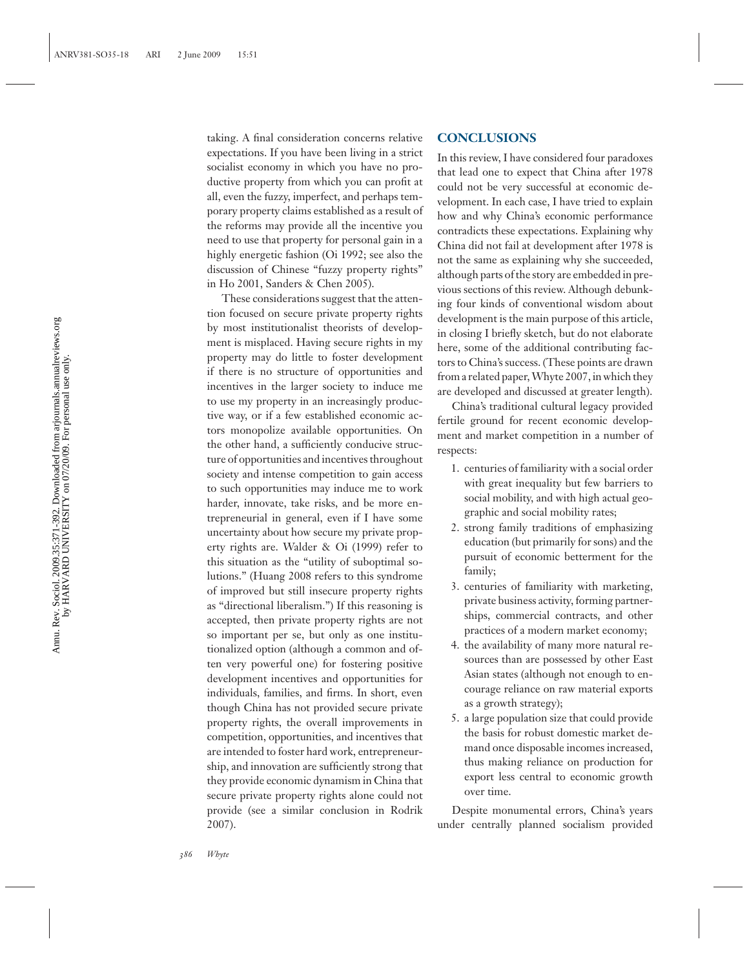taking. A final consideration concerns relative expectations. If you have been living in a strict socialist economy in which you have no productive property from which you can profit at all, even the fuzzy, imperfect, and perhaps temporary property claims established as a result of the reforms may provide all the incentive you need to use that property for personal gain in a highly energetic fashion (Oi 1992; see also the discussion of Chinese "fuzzy property rights" in Ho 2001, Sanders & Chen 2005).

These considerations suggest that the attention focused on secure private property rights by most institutionalist theorists of development is misplaced. Having secure rights in my property may do little to foster development if there is no structure of opportunities and incentives in the larger society to induce me to use my property in an increasingly productive way, or if a few established economic actors monopolize available opportunities. On the other hand, a sufficiently conducive structure of opportunities and incentives throughout society and intense competition to gain access to such opportunities may induce me to work harder, innovate, take risks, and be more entrepreneurial in general, even if I have some uncertainty about how secure my private property rights are. Walder & Oi (1999) refer to this situation as the "utility of suboptimal solutions." (Huang 2008 refers to this syndrome of improved but still insecure property rights as "directional liberalism.") If this reasoning is accepted, then private property rights are not so important per se, but only as one institutionalized option (although a common and often very powerful one) for fostering positive development incentives and opportunities for individuals, families, and firms. In short, even though China has not provided secure private property rights, the overall improvements in competition, opportunities, and incentives that are intended to foster hard work, entrepreneurship, and innovation are sufficiently strong that they provide economic dynamism in China that secure private property rights alone could not provide (see a similar conclusion in Rodrik 2007).

#### **CONCLUSIONS**

In this review, I have considered four paradoxes that lead one to expect that China after 1978 could not be very successful at economic development. In each case, I have tried to explain how and why China's economic performance contradicts these expectations. Explaining why China did not fail at development after 1978 is not the same as explaining why she succeeded, although parts of the story are embedded in previous sections of this review. Although debunking four kinds of conventional wisdom about development is the main purpose of this article, in closing I briefly sketch, but do not elaborate here, some of the additional contributing factors to China's success. (These points are drawn from a related paper, Whyte 2007, in which they are developed and discussed at greater length).

China's traditional cultural legacy provided fertile ground for recent economic development and market competition in a number of respects:

- 1. centuries of familiarity with a social order with great inequality but few barriers to social mobility, and with high actual geographic and social mobility rates;
- 2. strong family traditions of emphasizing education (but primarily for sons) and the pursuit of economic betterment for the family;
- 3. centuries of familiarity with marketing, private business activity, forming partnerships, commercial contracts, and other practices of a modern market economy;
- 4. the availability of many more natural resources than are possessed by other East Asian states (although not enough to encourage reliance on raw material exports as a growth strategy);
- 5. a large population size that could provide the basis for robust domestic market demand once disposable incomes increased, thus making reliance on production for export less central to economic growth over time.

Despite monumental errors, China's years under centrally planned socialism provided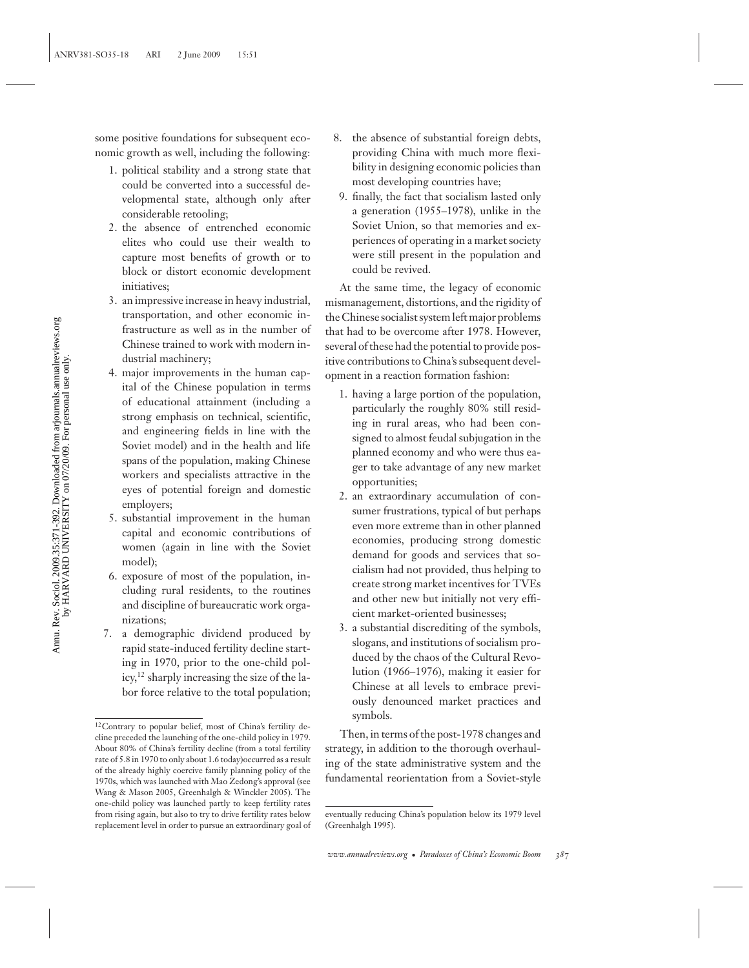some positive foundations for subsequent economic growth as well, including the following:

- 1. political stability and a strong state that could be converted into a successful developmental state, although only after considerable retooling;
- 2. the absence of entrenched economic elites who could use their wealth to capture most benefits of growth or to block or distort economic development initiatives;
- 3. an impressive increase in heavy industrial, transportation, and other economic infrastructure as well as in the number of Chinese trained to work with modern industrial machinery;
- 4. major improvements in the human capital of the Chinese population in terms of educational attainment (including a strong emphasis on technical, scientific, and engineering fields in line with the Soviet model) and in the health and life spans of the population, making Chinese workers and specialists attractive in the eyes of potential foreign and domestic employers;
- 5. substantial improvement in the human capital and economic contributions of women (again in line with the Soviet model);
- 6. exposure of most of the population, including rural residents, to the routines and discipline of bureaucratic work organizations;
- 7. a demographic dividend produced by rapid state-induced fertility decline starting in 1970, prior to the one-child policy,12 sharply increasing the size of the labor force relative to the total population;
- 8. the absence of substantial foreign debts, providing China with much more flexibility in designing economic policies than most developing countries have;
- 9. finally, the fact that socialism lasted only a generation (1955–1978), unlike in the Soviet Union, so that memories and experiences of operating in a market society were still present in the population and could be revived.

At the same time, the legacy of economic mismanagement, distortions, and the rigidity of the Chinese socialist system left major problems that had to be overcome after 1978. However, several of these had the potential to provide positive contributions to China's subsequent development in a reaction formation fashion:

- 1. having a large portion of the population, particularly the roughly 80% still residing in rural areas, who had been consigned to almost feudal subjugation in the planned economy and who were thus eager to take advantage of any new market opportunities;
- 2. an extraordinary accumulation of consumer frustrations, typical of but perhaps even more extreme than in other planned economies, producing strong domestic demand for goods and services that socialism had not provided, thus helping to create strong market incentives for TVEs and other new but initially not very efficient market-oriented businesses;
- 3. a substantial discrediting of the symbols, slogans, and institutions of socialism produced by the chaos of the Cultural Revolution (1966–1976), making it easier for Chinese at all levels to embrace previously denounced market practices and symbols.

Then, in terms of the post-1978 changes and strategy, in addition to the thorough overhauling of the state administrative system and the fundamental reorientation from a Soviet-style

<sup>12</sup>Contrary to popular belief, most of China's fertility decline preceded the launching of the one-child policy in 1979. About 80% of China's fertility decline (from a total fertility rate of 5.8 in 1970 to only about 1.6 today)occurred as a result of the already highly coercive family planning policy of the 1970s, which was launched with Mao Zedong's approval (see Wang & Mason 2005, Greenhalgh & Winckler 2005). The one-child policy was launched partly to keep fertility rates from rising again, but also to try to drive fertility rates below replacement level in order to pursue an extraordinary goal of

eventually reducing China's population below its 1979 level (Greenhalgh 1995).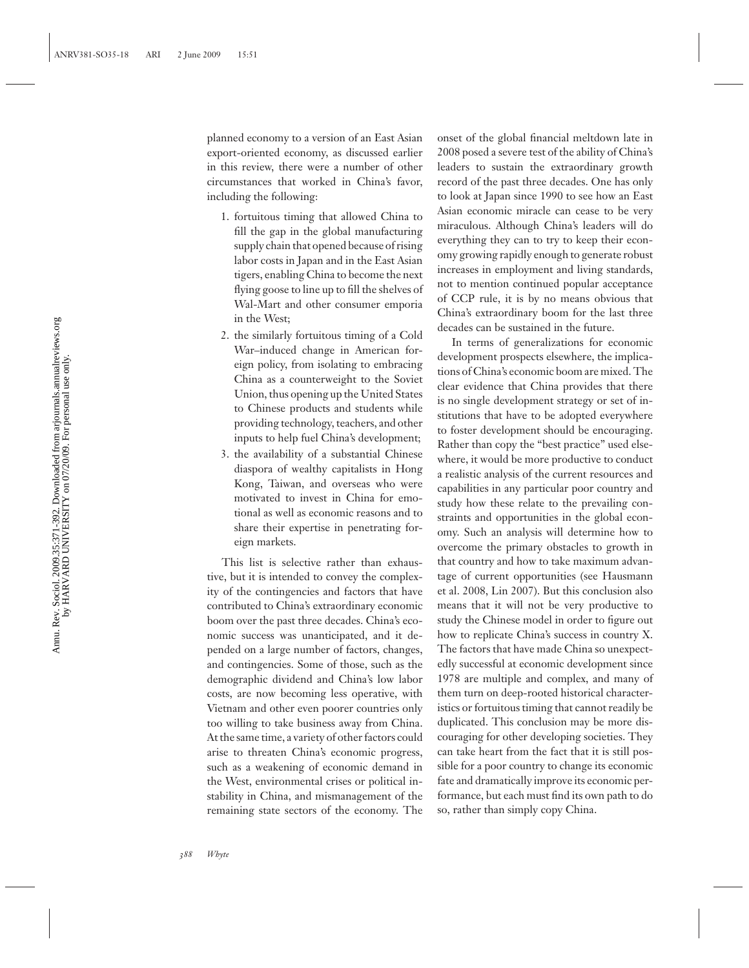planned economy to a version of an East Asian export-oriented economy, as discussed earlier in this review, there were a number of other circumstances that worked in China's favor, including the following:

- 1. fortuitous timing that allowed China to fill the gap in the global manufacturing supply chain that opened because of rising labor costs in Japan and in the East Asian tigers, enabling China to become the next flying goose to line up to fill the shelves of Wal-Mart and other consumer emporia in the West;
- 2. the similarly fortuitous timing of a Cold War–induced change in American foreign policy, from isolating to embracing China as a counterweight to the Soviet Union, thus opening up the United States to Chinese products and students while providing technology, teachers, and other inputs to help fuel China's development;
- 3. the availability of a substantial Chinese diaspora of wealthy capitalists in Hong Kong, Taiwan, and overseas who were motivated to invest in China for emotional as well as economic reasons and to share their expertise in penetrating foreign markets.

This list is selective rather than exhaustive, but it is intended to convey the complexity of the contingencies and factors that have contributed to China's extraordinary economic boom over the past three decades. China's economic success was unanticipated, and it depended on a large number of factors, changes, and contingencies. Some of those, such as the demographic dividend and China's low labor costs, are now becoming less operative, with Vietnam and other even poorer countries only too willing to take business away from China. At the same time, a variety of other factors could arise to threaten China's economic progress, such as a weakening of economic demand in the West, environmental crises or political instability in China, and mismanagement of the remaining state sectors of the economy. The

onset of the global financial meltdown late in 2008 posed a severe test of the ability of China's leaders to sustain the extraordinary growth record of the past three decades. One has only to look at Japan since 1990 to see how an East Asian economic miracle can cease to be very miraculous. Although China's leaders will do everything they can to try to keep their economy growing rapidly enough to generate robust increases in employment and living standards, not to mention continued popular acceptance of CCP rule, it is by no means obvious that China's extraordinary boom for the last three decades can be sustained in the future.

In terms of generalizations for economic development prospects elsewhere, the implications of China's economic boom are mixed. The clear evidence that China provides that there is no single development strategy or set of institutions that have to be adopted everywhere to foster development should be encouraging. Rather than copy the "best practice" used elsewhere, it would be more productive to conduct a realistic analysis of the current resources and capabilities in any particular poor country and study how these relate to the prevailing constraints and opportunities in the global economy. Such an analysis will determine how to overcome the primary obstacles to growth in that country and how to take maximum advantage of current opportunities (see Hausmann et al. 2008, Lin 2007). But this conclusion also means that it will not be very productive to study the Chinese model in order to figure out how to replicate China's success in country X. The factors that have made China so unexpectedly successful at economic development since 1978 are multiple and complex, and many of them turn on deep-rooted historical characteristics or fortuitous timing that cannot readily be duplicated. This conclusion may be more discouraging for other developing societies. They can take heart from the fact that it is still possible for a poor country to change its economic fate and dramatically improve its economic performance, but each must find its own path to do so, rather than simply copy China.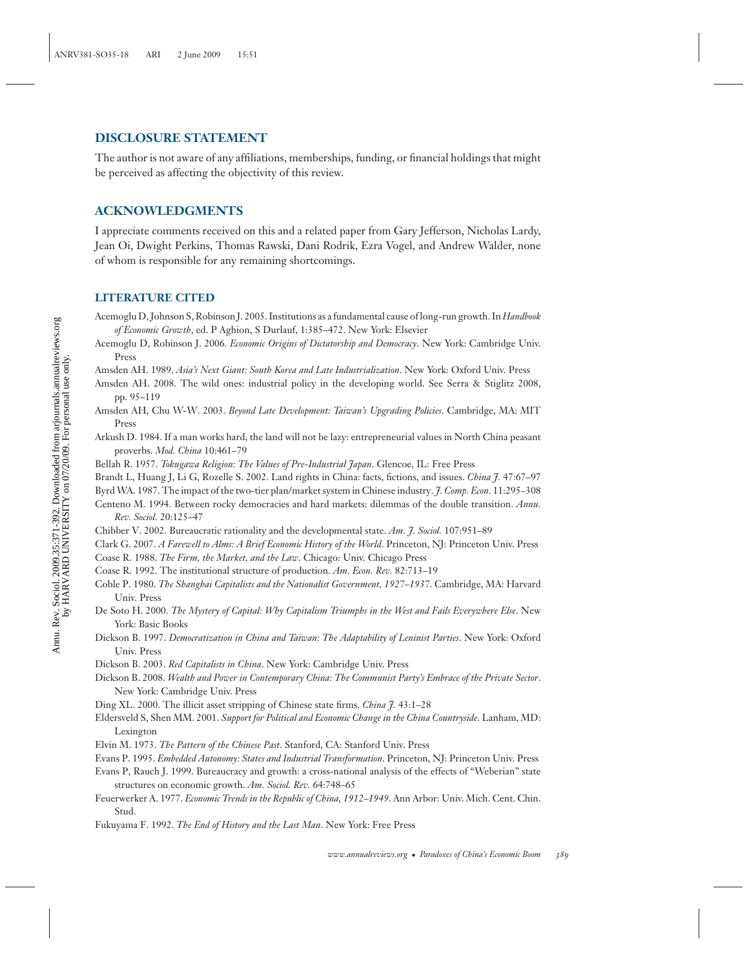#### **DISCLOSURE STATEMENT**

The author is not aware of any affiliations, memberships, funding, or financial holdings that might be perceived as affecting the objectivity of this review.

#### **ACKNOWLEDGMENTS**

I appreciate comments received on this and a related paper from Gary Jefferson, Nicholas Lardy, Jean Oi, Dwight Perkins, Thomas Rawski, Dani Rodrik, Ezra Vogel, and Andrew Walder, none of whom is responsible for any remaining shortcomings.

#### **LITERATURE CITED**

- Acemoglu D, Johnson S, Robinson J. 2005. Institutions as a fundamental cause of long-run growth. In *Handbook of Economic Growth*, ed. P Aghion, S Durlauf, 1:385–472. New York: Elsevier
- Acemoglu D, Robinson J. 2006. *Economic Origins of Dictatorship and Democracy*. New York: Cambridge Univ. Press
- Amsden AH. 1989. *Asia's Next Giant: South Korea and Late Industrialization*. New York: Oxford Univ. Press
- Amsden AH. 2008. The wild ones: industrial policy in the developing world. See Serra & Stiglitz 2008, pp. 95–119
- Amsden AH, Chu W-W. 2003. *Beyond Late Development: Taiwan's Upgrading Policies*. Cambridge, MA: MIT Press
- Arkush D. 1984. If a man works hard, the land will not be lazy: entrepreneurial values in North China peasant proverbs. *Mod. China* 10:461–79

Bellah R. 1957. *Tokugawa Religion: The Values of Pre-Industrial Japan*. Glencoe, IL: Free Press

- Brandt L, Huang J, Li G, Rozelle S. 2002. Land rights in China: facts, fictions, and issues. *China J.* 47:67–97
- Byrd WA. 1987. The impact of the two-tier plan/market system in Chinese industry. *J. Comp. Econ.* 11:295–308
- Centeno M. 1994. Between rocky democracies and hard markets: dilemmas of the double transition. *Annu. Rev. Sociol.* 20:125–47
- Chibber V. 2002. Bureaucratic rationality and the developmental state. *Am. J. Sociol.* 107:951–89
- Clark G. 2007. *A Farewell to Alms: A Brief Economic History of the World*. Princeton, NJ: Princeton Univ. Press
- Coase R. 1988. *The Firm, the Market, and the Law*. Chicago: Univ. Chicago Press
- Coase R. 1992. The institutional structure of production. *Am. Econ. Rev.* 82:713–19
- Coble P. 1980. *The Shanghai Capitalists and the Nationalist Government, 1927–1937*. Cambridge, MA: Harvard Univ. Press
- De Soto H. 2000. *The Mystery of Capital: Why Capitalism Triumphs in the West and Fails Everywhere Else*. New York: Basic Books
- Dickson B. 1997. *Democratization in China and Taiwan: The Adaptability of Leninist Parties*. New York: Oxford Univ. Press
- Dickson B. 2003. *Red Capitalists in China*. New York: Cambridge Univ. Press
- Dickson B. 2008. *Wealth and Power in Contemporary China: The Communist Party's Embrace of the Private Sector*. New York: Cambridge Univ. Press
- Ding XL. 2000. The illicit asset stripping of Chinese state firms. *China J.* 43:1–28
- Eldersveld S, Shen MM. 2001. *Support for Political and Economic Change in the China Countryside*. Lanham, MD: Lexington
- Elvin M. 1973. *The Pattern of the Chinese Past*. Stanford, CA: Stanford Univ. Press
- Evans P. 1995. *Embedded Autonomy: States and Industrial Transformation*. Princeton, NJ: Princeton Univ. Press
- Evans P, Rauch J. 1999. Bureaucracy and growth: a cross-national analysis of the effects of "Weberian" state structures on economic growth. *Am. Sociol. Rev.* 64:748–65
- Feuerwerker A. 1977. *Economic Trends in the Republic of China, 1912–1949*. Ann Arbor: Univ. Mich. Cent. Chin. Stud.
- Fukuyama F. 1992. *The End of History and the Last Man*. New York: Free Press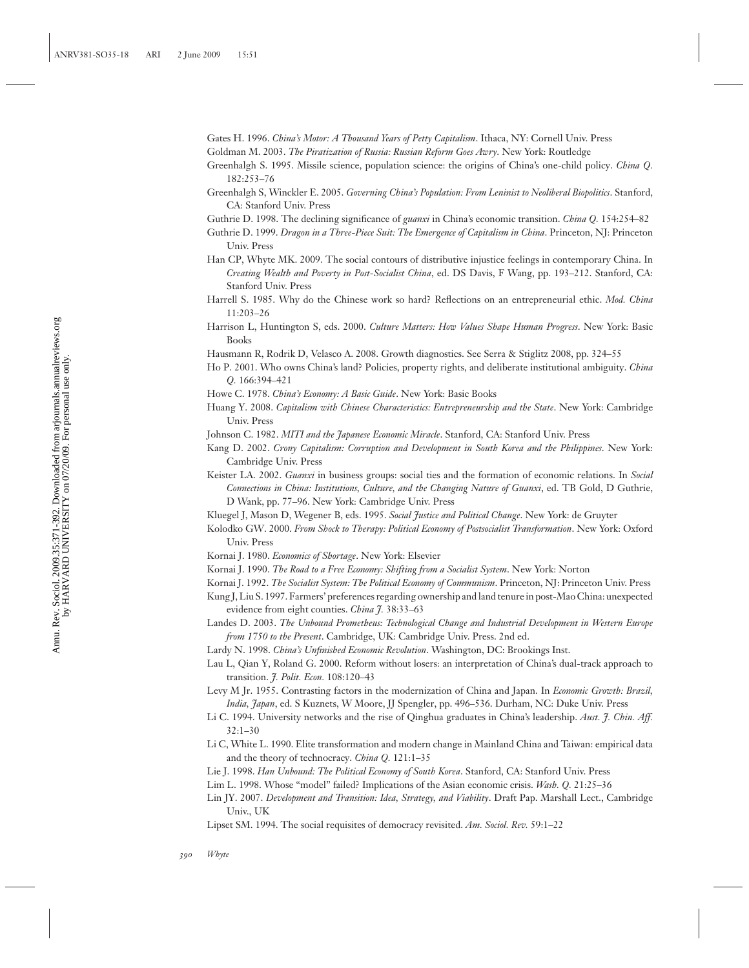Gates H. 1996. *China's Motor: A Thousand Years of Petty Capitalism*. Ithaca, NY: Cornell Univ. Press

- Goldman M. 2003. *The Piratization of Russia: Russian Reform Goes Awry*. New York: Routledge
- Greenhalgh S. 1995. Missile science, population science: the origins of China's one-child policy. *China Q.* 182:253–76
- Greenhalgh S, Winckler E. 2005. *Governing China's Population: From Leninist to Neoliberal Biopolitics*. Stanford, CA: Stanford Univ. Press
- Guthrie D. 1998. The declining significance of *guanxi* in China's economic transition. *China Q.* 154:254–82
- Guthrie D. 1999. *Dragon in a Three-Piece Suit: The Emergence of Capitalism in China*. Princeton, NJ: Princeton Univ. Press
- Han CP, Whyte MK. 2009. The social contours of distributive injustice feelings in contemporary China. In *Creating Wealth and Poverty in Post-Socialist China*, ed. DS Davis, F Wang, pp. 193–212. Stanford, CA: Stanford Univ. Press
- Harrell S. 1985. Why do the Chinese work so hard? Reflections on an entrepreneurial ethic. *Mod. China* 11:203–26
- Harrison L, Huntington S, eds. 2000. *Culture Matters: How Values Shape Human Progress*. New York: Basic Books
- Hausmann R, Rodrik D, Velasco A. 2008. Growth diagnostics. See Serra & Stiglitz 2008, pp. 324–55
- Ho P. 2001. Who owns China's land? Policies, property rights, and deliberate institutional ambiguity. *China Q.* 166:394–421
- Howe C. 1978. *China's Economy: A Basic Guide*. New York: Basic Books
- Huang Y. 2008. *Capitalism with Chinese Characteristics: Entrepreneurship and the State*. New York: Cambridge Univ. Press
- Johnson C. 1982. *MITI and the Japanese Economic Miracle*. Stanford, CA: Stanford Univ. Press
- Kang D. 2002. *Crony Capitalism: Corruption and Development in South Korea and the Philippines*. New York: Cambridge Univ. Press
- Keister LA. 2002. *Guanxi* in business groups: social ties and the formation of economic relations. In *Social Connections in China: Institutions, Culture, and the Changing Nature of Guanxi*, ed. TB Gold, D Guthrie, D Wank, pp. 77–96. New York: Cambridge Univ. Press
- Kluegel J, Mason D, Wegener B, eds. 1995. *Social Justice and Political Change*. New York: de Gruyter
- Kolodko GW. 2000. *From Shock to Therapy: Political Economy of Postsocialist Transformation*. New York: Oxford Univ. Press
- Kornai J. 1980. *Economics of Shortage*. New York: Elsevier
- Kornai J. 1990. *The Road to a Free Economy: Shifting from a Socialist System*. New York: Norton
- Kornai J. 1992. *The Socialist System: The Political Economy of Communism*. Princeton, NJ: Princeton Univ. Press
- Kung J, Liu S. 1997. Farmers' preferences regarding ownership and land tenure in post-Mao China: unexpected evidence from eight counties. *China J.* 38:33–63
- Landes D. 2003. *The Unbound Prometheus: Technological Change and Industrial Development in Western Europe from 1750 to the Present*. Cambridge, UK: Cambridge Univ. Press. 2nd ed.
- Lardy N. 1998. *China's Unfinished Economic Revolution*. Washington, DC: Brookings Inst.
- Lau L, Qian Y, Roland G. 2000. Reform without losers: an interpretation of China's dual-track approach to transition. *J. Polit. Econ.* 108:120–43
- Levy M Jr. 1955. Contrasting factors in the modernization of China and Japan. In *Economic Growth: Brazil, India, Japan*, ed. S Kuznets, W Moore, JJ Spengler, pp. 496–536. Durham, NC: Duke Univ. Press
- Li C. 1994. University networks and the rise of Qinghua graduates in China's leadership. *Aust. J. Chin. Aff.* 32:1–30
- Li C, White L. 1990. Elite transformation and modern change in Mainland China and Taiwan: empirical data and the theory of technocracy. *China Q.* 121:1–35
- Lie J. 1998. *Han Unbound: The Political Economy of South Korea*. Stanford, CA: Stanford Univ. Press
- Lim L. 1998. Whose "model" failed? Implications of the Asian economic crisis. *Wash. Q.* 21:25–36
- Lin JY. 2007. *Development and Transition: Idea, Strategy, and Viability*. Draft Pap. Marshall Lect., Cambridge Univ., UK
- Lipset SM. 1994. The social requisites of democracy revisited. *Am. Sociol. Rev.* 59:1–22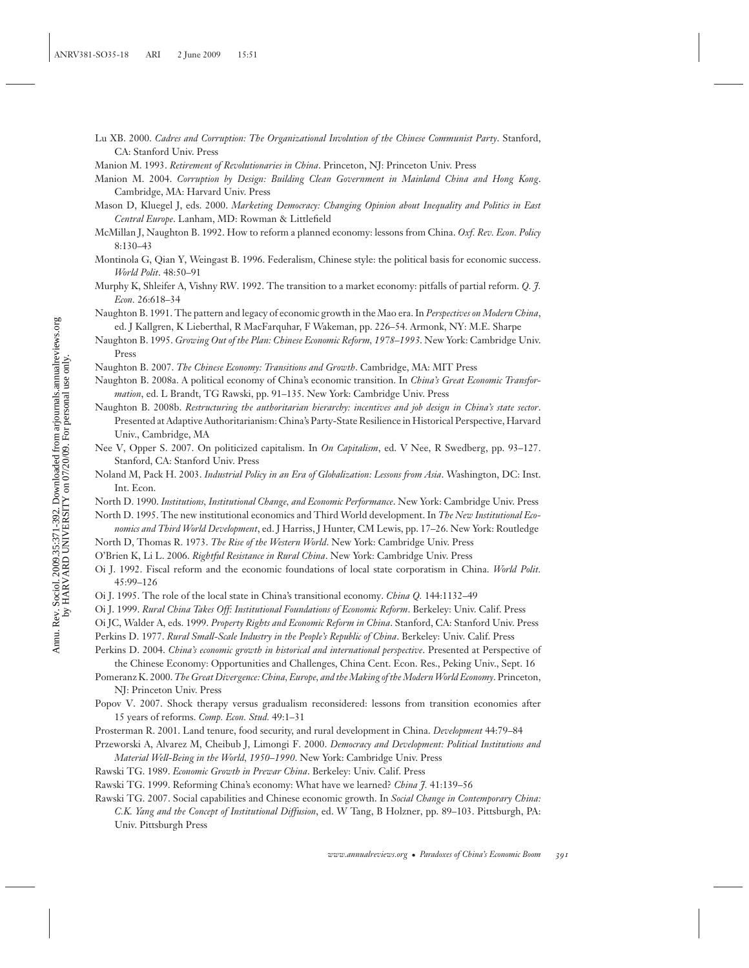Annu. Rev. Sociol. 2009.35:371-392. Downloaded from arjournals.annualreviews.org<br>by HARVARD UNIVERSITY on 07/20/09. For personal use only. Annu. Rev. Sociol. 2009.35:371-392. Downloaded from arjournals.annualreviews.org by HARVARD UNIVERSITY on 07/20/09. For personal use only.

- Lu XB. 2000. *Cadres and Corruption: The Organizational Involution of the Chinese Communist Party*. Stanford, CA: Stanford Univ. Press
- Manion M. 1993. *Retirement of Revolutionaries in China*. Princeton, NJ: Princeton Univ. Press
- Manion M. 2004. *Corruption by Design: Building Clean Government in Mainland China and Hong Kong*. Cambridge, MA: Harvard Univ. Press
- Mason D, Kluegel J, eds. 2000. *Marketing Democracy: Changing Opinion about Inequality and Politics in East Central Europe*. Lanham, MD: Rowman & Littlefield
- McMillan J, Naughton B. 1992. How to reform a planned economy: lessons from China. *Oxf. Rev. Econ. Policy* 8:130–43
- Montinola G, Qian Y, Weingast B. 1996. Federalism, Chinese style: the political basis for economic success. *World Polit*. 48:50–91
- Murphy K, Shleifer A, Vishny RW. 1992. The transition to a market economy: pitfalls of partial reform. *Q. J. Econ.* 26:618–34
- Naughton B. 1991. The pattern and legacy of economic growth in the Mao era. In *Perspectives on Modern China*, ed. J Kallgren, K Lieberthal, R MacFarquhar, F Wakeman, pp. 226–54. Armonk, NY: M.E. Sharpe
- Naughton B. 1995. *Growing Out of the Plan: Chinese Economic Reform, 1978–1993*. New York: Cambridge Univ. Press
- Naughton B. 2007. *The Chinese Economy: Transitions and Growth*. Cambridge, MA: MIT Press
- Naughton B. 2008a. A political economy of China's economic transition. In *China's Great Economic Transformation*, ed. L Brandt, TG Rawski, pp. 91–135. New York: Cambridge Univ. Press
- Naughton B. 2008b. *Restructuring the authoritarian hierarchy: incentives and job design in China's state sector*. Presented at Adaptive Authoritarianism: China's Party-State Resilience in Historical Perspective, Harvard Univ., Cambridge, MA
- Nee V, Opper S. 2007. On politicized capitalism. In *On Capitalism*, ed. V Nee, R Swedberg, pp. 93–127. Stanford, CA: Stanford Univ. Press
- Noland M, Pack H. 2003. *Industrial Policy in an Era of Globalization: Lessons from Asia*. Washington, DC: Inst. Int. Econ.
- North D. 1990. *Institutions, Institutional Change, and Economic Performance*. New York: Cambridge Univ. Press
- North D. 1995. The new institutional economics and Third World development. In *The New Institutional Economics and Third World Development*, ed. J Harriss, J Hunter, CM Lewis, pp. 17–26. New York: Routledge
- North D, Thomas R. 1973. *The Rise of the Western World*. New York: Cambridge Univ. Press
- O'Brien K, Li L. 2006. *Rightful Resistance in Rural China*. New York: Cambridge Univ. Press
- Oi J. 1992. Fiscal reform and the economic foundations of local state corporatism in China. *World Polit.* 45:99–126
- Oi J. 1995. The role of the local state in China's transitional economy. *China Q.* 144:1132–49
- Oi J. 1999. *Rural China Takes Off: Institutional Foundations of Economic Reform*. Berkeley: Univ. Calif. Press
- Oi JC, Walder A, eds. 1999. *Property Rights and Economic Reform in China*. Stanford, CA: Stanford Univ. Press
- Perkins D. 1977. *Rural Small-Scale Industry in the People's Republic of China*. Berkeley: Univ. Calif. Press
- Perkins D. 2004. *China's economic growth in historical and international perspective*. Presented at Perspective of the Chinese Economy: Opportunities and Challenges, China Cent. Econ. Res., Peking Univ., Sept. 16
- Pomeranz K. 2000.*The Great Divergence: China, Europe, and the Making of the Modern World Economy*. Princeton, NJ: Princeton Univ. Press
- Popov V. 2007. Shock therapy versus gradualism reconsidered: lessons from transition economies after 15 years of reforms. *Comp. Econ. Stud.* 49:1–31
- Prosterman R. 2001. Land tenure, food security, and rural development in China. *Development* 44:79–84
- Przeworski A, Alvarez M, Cheibub J, Limongi F. 2000. *Democracy and Development: Political Institutions and Material Well-Being in the World, 1950–1990*. New York: Cambridge Univ. Press
- Rawski TG. 1989. *Economic Growth in Prewar China*. Berkeley: Univ. Calif. Press
- Rawski TG. 1999. Reforming China's economy: What have we learned? *China J.* 41:139–56
- Rawski TG. 2007. Social capabilities and Chinese economic growth. In *Social Change in Contemporary China: C.K. Yang and the Concept of Institutional Diffusion*, ed. W Tang, B Holzner, pp. 89–103. Pittsburgh, PA: Univ. Pittsburgh Press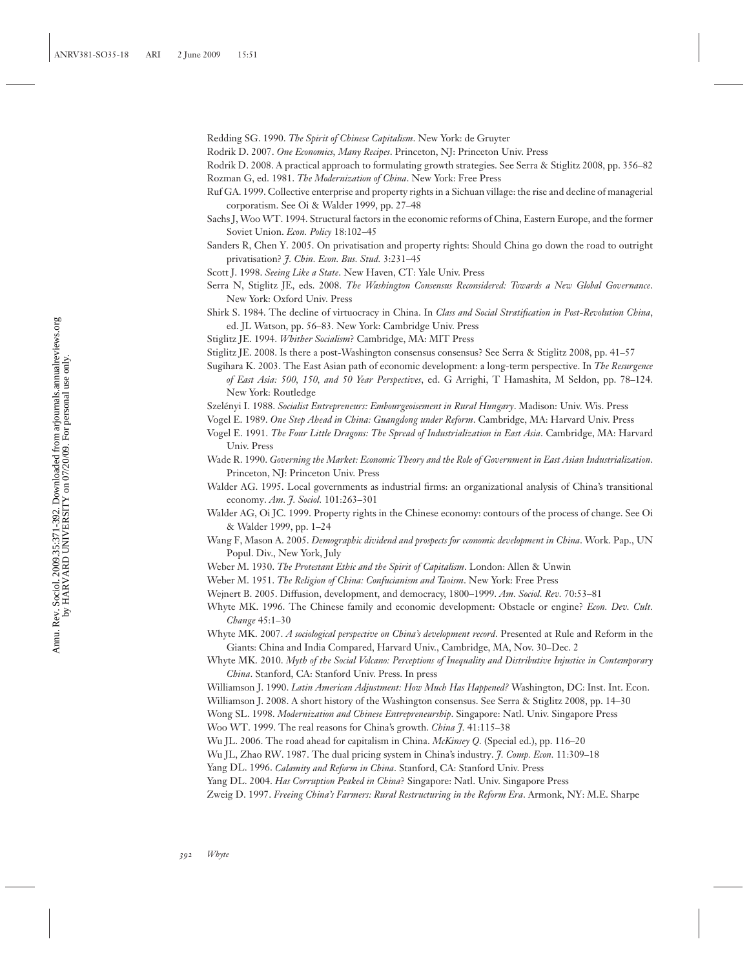Redding SG. 1990. *The Spirit of Chinese Capitalism*. New York: de Gruyter

Rodrik D. 2007. *One Economics, Many Recipes*. Princeton, NJ: Princeton Univ. Press

Rodrik D. 2008. A practical approach to formulating growth strategies. See Serra & Stiglitz 2008, pp. 356–82 Rozman G, ed. 1981. *The Modernization of China*. New York: Free Press

- Ruf GA. 1999. Collective enterprise and property rights in a Sichuan village: the rise and decline of managerial corporatism. See Oi & Walder 1999, pp. 27–48
- Sachs J, Woo WT. 1994. Structural factors in the economic reforms of China, Eastern Europe, and the former Soviet Union. *Econ. Policy* 18:102–45
- Sanders R, Chen Y. 2005. On privatisation and property rights: Should China go down the road to outright privatisation? *J. Chin. Econ. Bus. Stud.* 3:231–45
- Scott J. 1998. *Seeing Like a State*. New Haven, CT: Yale Univ. Press
- Serra N, Stiglitz JE, eds. 2008. *The Washington Consensus Reconsidered: Towards a New Global Governance*. New York: Oxford Univ. Press
- Shirk S. 1984. The decline of virtuocracy in China. In *Class and Social Stratification in Post-Revolution China*, ed. JL Watson, pp. 56–83. New York: Cambridge Univ. Press
- Stiglitz JE. 1994. *Whither Socialism*? Cambridge, MA: MIT Press
- Stiglitz JE. 2008. Is there a post-Washington consensus consensus? See Serra & Stiglitz 2008, pp. 41–57
- Sugihara K. 2003. The East Asian path of economic development: a long-term perspective. In *The Resurgence of East Asia: 500, 150, and 50 Year Perspectives*, ed. G Arrighi, T Hamashita, M Seldon, pp. 78–124. New York: Routledge
- Szelényi I. 1988. Socialist Entrepreneurs: Embourgeoisement in Rural Hungary. Madison: Univ. Wis. Press
- Vogel E. 1989. *One Step Ahead in China: Guangdong under Reform*. Cambridge, MA: Harvard Univ. Press
- Vogel E. 1991. *The Four Little Dragons: The Spread of Industrialization in East Asia*. Cambridge, MA: Harvard Univ. Press
- Wade R. 1990. *Governing the Market: Economic Theory and the Role of Government in East Asian Industrialization*. Princeton, NJ: Princeton Univ. Press
- Walder AG. 1995. Local governments as industrial firms: an organizational analysis of China's transitional economy. *Am. J. Sociol.* 101:263–301
- Walder AG, Oi JC. 1999. Property rights in the Chinese economy: contours of the process of change. See Oi & Walder 1999, pp. 1–24
- Wang F, Mason A. 2005. *Demographic dividend and prospects for economic development in China*. Work. Pap., UN Popul. Div., New York, July
- Weber M. 1930. *The Protestant Ethic and the Spirit of Capitalism*. London: Allen & Unwin
- Weber M. 1951. *The Religion of China: Confucianism and Taoism*. New York: Free Press
- Wejnert B. 2005. Diffusion, development, and democracy, 1800–1999. *Am. Sociol. Rev.* 70:53–81
- Whyte MK. 1996. The Chinese family and economic development: Obstacle or engine? *Econ. Dev. Cult. Change* 45:1–30
- Whyte MK. 2007. *A sociological perspective on China's development record*. Presented at Rule and Reform in the Giants: China and India Compared, Harvard Univ., Cambridge, MA, Nov. 30–Dec. 2
- Whyte MK. 2010. *Myth of the Social Volcano: Perceptions of Inequality and Distributive Injustice in Contemporary China*. Stanford, CA: Stanford Univ. Press. In press
- Williamson J. 1990. *Latin American Adjustment: How Much Has Happened?* Washington, DC: Inst. Int. Econ.
- Williamson J. 2008. A short history of the Washington consensus. See Serra & Stiglitz 2008, pp. 14–30
- Wong SL. 1998. *Modernization and Chinese Entrepreneurship*. Singapore: Natl. Univ. Singapore Press Woo WT. 1999. The real reasons for China's growth. *China J.* 41:115–38
- Wu JL. 2006. The road ahead for capitalism in China. *McKinsey Q.* (Special ed.), pp. 116–20
- Wu JL, Zhao RW. 1987. The dual pricing system in China's industry. *J. Comp. Econ.* 11:309–18
- Yang DL. 1996. *Calamity and Reform in China*. Stanford, CA: Stanford Univ. Press
- Yang DL. 2004. *Has Corruption Peaked in China*? Singapore: Natl. Univ. Singapore Press
- Zweig D. 1997. *Freeing China's Farmers: Rural Restructuring in the Reform Era*. Armonk, NY: M.E. Sharpe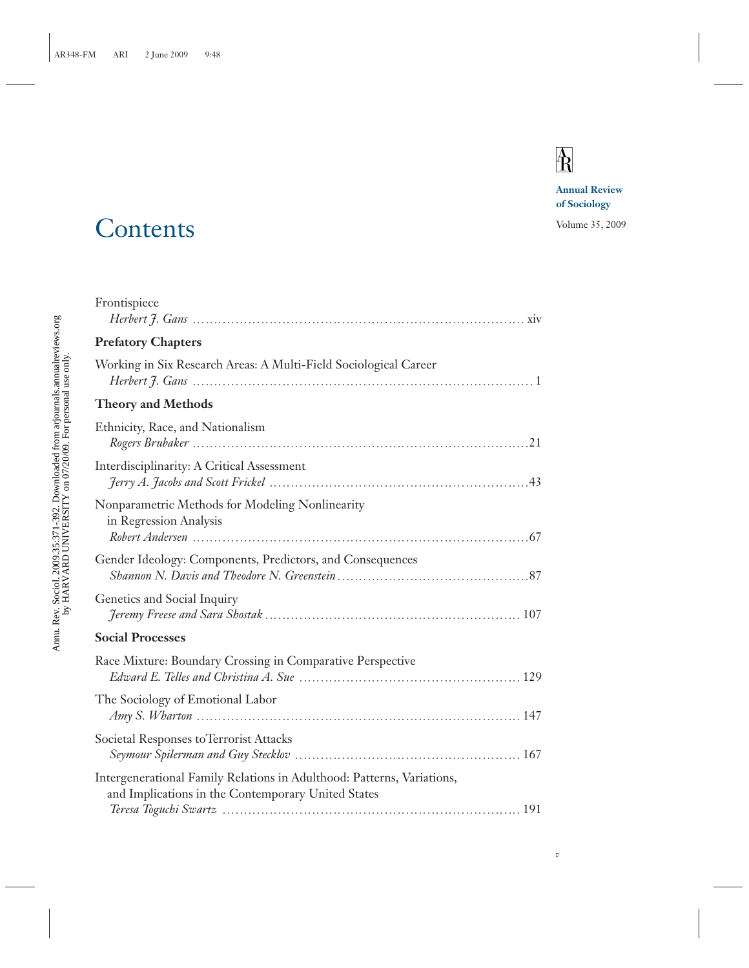# $\overline{\textbf{R}}$

*v*

**Annual Review of Sociology**

## Contents Volume 35, 2009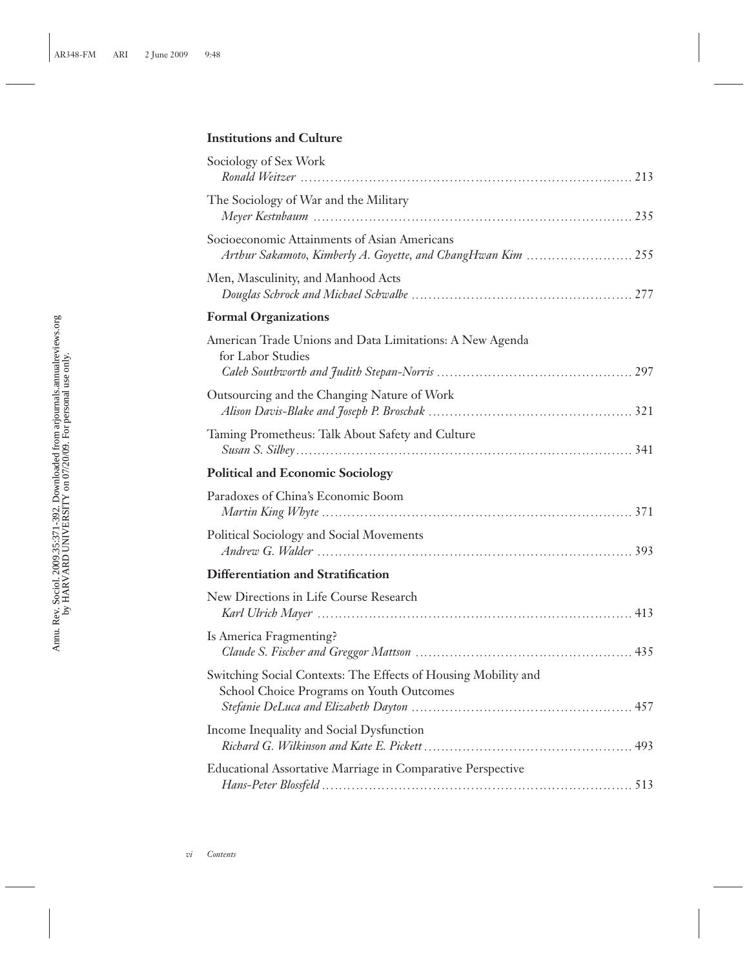## **Institutions and Culture**

| Sociology of Sex Work                                                                                        |
|--------------------------------------------------------------------------------------------------------------|
| The Sociology of War and the Military                                                                        |
| Socioeconomic Attainments of Asian Americans<br>Arthur Sakamoto, Kimberly A. Goyette, and ChangHwan Kim  255 |
| Men, Masculinity, and Manhood Acts                                                                           |
| <b>Formal Organizations</b>                                                                                  |
| American Trade Unions and Data Limitations: A New Agenda<br>for Labor Studies                                |
| Outsourcing and the Changing Nature of Work                                                                  |
|                                                                                                              |
| Taming Prometheus: Talk About Safety and Culture                                                             |
| <b>Political and Economic Sociology</b>                                                                      |
| Paradoxes of China's Economic Boom                                                                           |
| Political Sociology and Social Movements                                                                     |
| Differentiation and Stratification                                                                           |
| New Directions in Life Course Research                                                                       |
| Is America Fragmenting?                                                                                      |
| Switching Social Contexts: The Effects of Housing Mobility and<br>School Choice Programs on Youth Outcomes   |
| Income Inequality and Social Dysfunction                                                                     |
| Educational Assortative Marriage in Comparative Perspective                                                  |